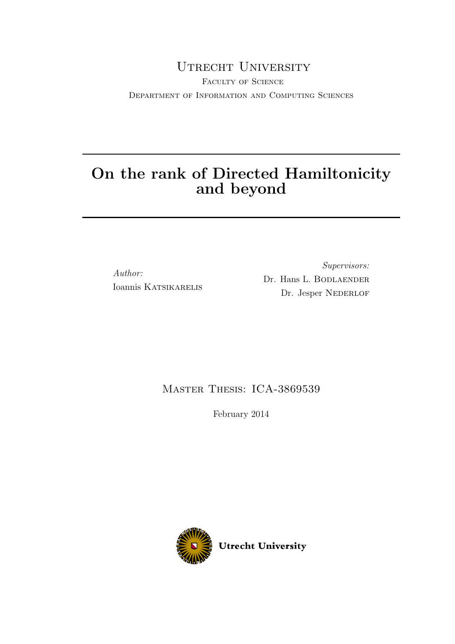### UTRECHT UNIVERSITY

FACULTY OF SCIENCE Department of Information and Computing Sciences

## On the rank of Directed Hamiltonicity and beyond

Author: Ioannis KATSIKARELIS

Supervisors: Dr. Hans L. BODLAENDER Dr. Jesper NEDERLOF

### Master Thesis: ICA-3869539

February 2014

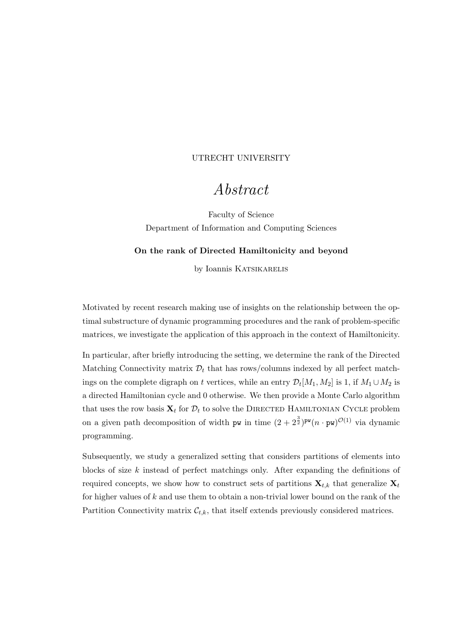#### <span id="page-1-0"></span>UTRECHT UNIVERSITY

### Abstract

Faculty of Science Department of Information and Computing Sciences

#### On the rank of Directed Hamiltonicity and beyond

by Ioannis KATSIKARELIS

Motivated by recent research making use of insights on the relationship between the optimal substructure of dynamic programming procedures and the rank of problem-specific matrices, we investigate the application of this approach in the context of Hamiltonicity.

In particular, after briefly introducing the setting, we determine the rank of the Directed Matching Connectivity matrix  $\mathcal{D}_t$  that has rows/columns indexed by all perfect matchings on the complete digraph on t vertices, while an entry  $\mathcal{D}_t[M_1, M_2]$  is 1, if  $M_1 \cup M_2$  is a directed Hamiltonian cycle and 0 otherwise. We then provide a Monte Carlo algorithm that uses the row basis  $\mathbf{X}_t$  for  $\mathcal{D}_t$  to solve the DIRECTED HAMILTONIAN CYCLE problem on a given path decomposition of width pw in time  $(2 + 2^{\frac{3}{2}})^{pw}(n \cdot pw)^{\mathcal{O}(1)}$  via dynamic programming.

Subsequently, we study a generalized setting that considers partitions of elements into blocks of size k instead of perfect matchings only. After expanding the definitions of required concepts, we show how to construct sets of partitions  $\mathbf{X}_{t,k}$  that generalize  $\mathbf{X}_t$ for higher values of  $k$  and use them to obtain a non-trivial lower bound on the rank of the Partition Connectivity matrix  $\mathcal{C}_{t,k}$ , that itself extends previously considered matrices.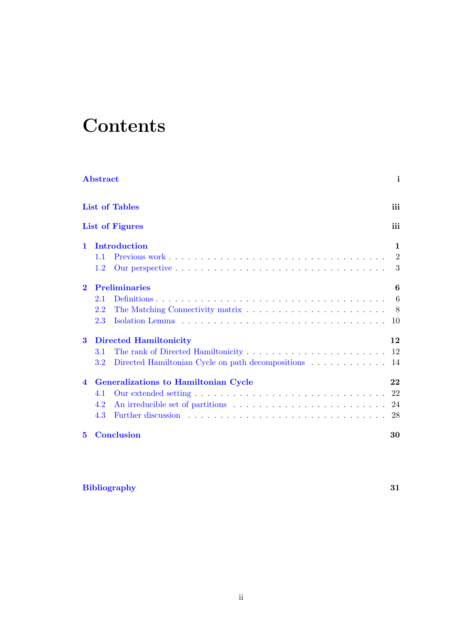# **Contents**

|                | Abstract      |                                                      | i            |
|----------------|---------------|------------------------------------------------------|--------------|
|                |               | <b>List of Tables</b>                                | iii          |
|                |               | <b>List of Figures</b>                               | iii          |
| $\mathbf{1}$   |               | Introduction                                         | $\mathbf{1}$ |
|                | 1.1           |                                                      |              |
|                | 1.2           |                                                      |              |
| $\mathbf{2}$   |               | <b>Preliminaries</b>                                 | 6            |
|                | 2.1           |                                                      |              |
|                | 2.2           |                                                      |              |
|                | 2.3           |                                                      |              |
| 3              |               | <b>Directed Hamiltonicity</b>                        | 12           |
|                | 3.1           |                                                      |              |
|                | $3.2^{\circ}$ | Directed Hamiltonian Cycle on path decompositions 14 |              |
| $\overline{4}$ |               | <b>Generalizations to Hamiltonian Cycle</b>          | 22           |
|                | 4.1           |                                                      |              |
|                | 4.2           |                                                      |              |
|                | 4.3           |                                                      |              |
| $5^{\circ}$    |               | <b>Conclusion</b>                                    | 30           |

#### [Bibliography](#page-34-0) 31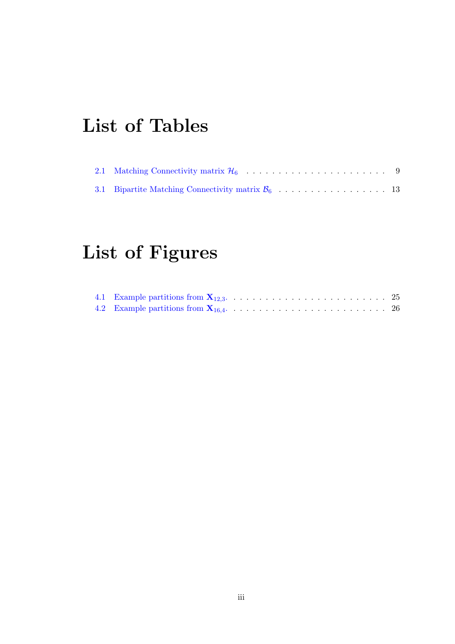# <span id="page-3-0"></span>List of Tables

<span id="page-3-1"></span>

# List of Figures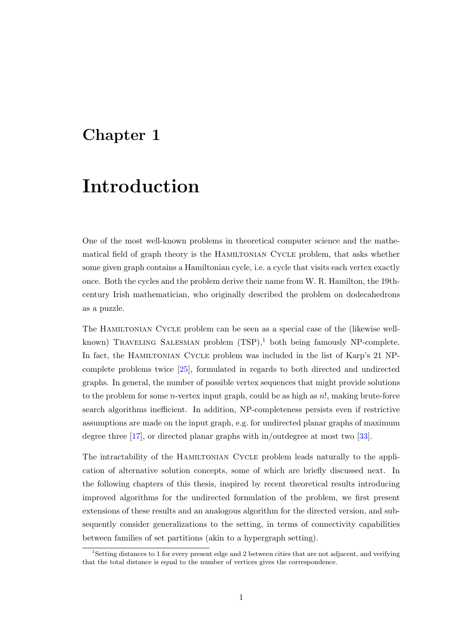## <span id="page-4-0"></span>Chapter 1

# Introduction

One of the most well-known problems in theoretical computer science and the mathematical field of graph theory is the Hamiltonian Cycle problem, that asks whether some given graph contains a Hamiltonian cycle, i.e. a cycle that visits each vertex exactly once. Both the cycles and the problem derive their name from W. R. Hamilton, the 19thcentury Irish mathematician, who originally described the problem on dodecahedrons as a puzzle.

The Hamiltonian Cycle problem can be seen as a special case of the (likewise wellknown) TRAVELING SALESMAN problem  $(TSP)$ ,<sup>[1](#page-4-1)</sup> both being famously NP-complete. In fact, the Hamiltonian Cycle problem was included in the list of Karp's 21 NPcomplete problems twice [\[25\]](#page-36-0), formulated in regards to both directed and undirected graphs. In general, the number of possible vertex sequences that might provide solutions to the problem for some  $n$ -vertex input graph, could be as high as  $n!$ , making brute-force search algorithms inefficient. In addition, NP-completeness persists even if restrictive assumptions are made on the input graph, e.g. for undirected planar graphs of maximum degree three [\[17\]](#page-35-0), or directed planar graphs with in/outdegree at most two [\[33\]](#page-36-1).

The intractability of the HAMILTONIAN CYCLE problem leads naturally to the application of alternative solution concepts, some of which are briefly discussed next. In the following chapters of this thesis, inspired by recent theoretical results introducing improved algorithms for the undirected formulation of the problem, we first present extensions of these results and an analogous algorithm for the directed version, and subsequently consider generalizations to the setting, in terms of connectivity capabilities between families of set partitions (akin to a hypergraph setting).

<span id="page-4-1"></span><sup>1</sup>Setting distances to 1 for every present edge and 2 between cities that are not adjacent, and verifying that the total distance is equal to the number of vertices gives the correspondence.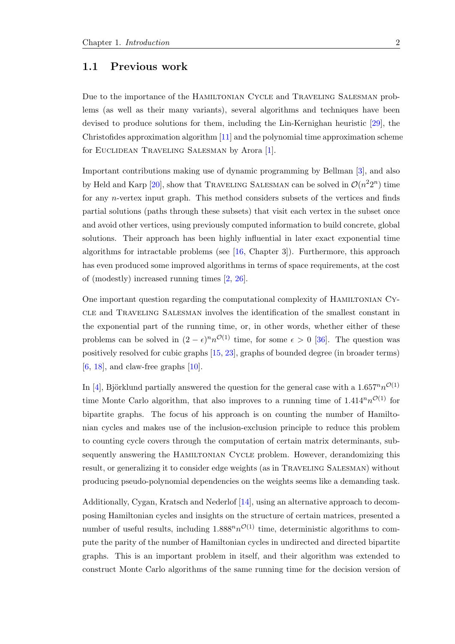#### <span id="page-5-0"></span>1.1 Previous work

Due to the importance of the Hamiltonian Cycle and Traveling Salesman problems (as well as their many variants), several algorithms and techniques have been devised to produce solutions for them, including the Lin-Kernighan heuristic [\[29\]](#page-36-2), the Christofides approximation algorithm [\[11\]](#page-35-1) and the polynomial time approximation scheme for Euclidean Traveling Salesman by Arora [\[1\]](#page-34-1).

Important contributions making use of dynamic programming by Bellman [\[3\]](#page-34-2), and also by Held and Karp [\[20\]](#page-35-2), show that TRAVELING SALESMAN can be solved in  $\mathcal{O}(n^2 2^n)$  time for any n-vertex input graph. This method considers subsets of the vertices and finds partial solutions (paths through these subsets) that visit each vertex in the subset once and avoid other vertices, using previously computed information to build concrete, global solutions. Their approach has been highly influential in later exact exponential time algorithms for intractable problems (see [\[16,](#page-35-3) Chapter 3]). Furthermore, this approach has even produced some improved algorithms in terms of space requirements, at the cost of (modestly) increased running times [\[2,](#page-34-3) [26\]](#page-36-3).

One important question regarding the computational complexity of Hamiltonian Cycle and Traveling Salesman involves the identification of the smallest constant in the exponential part of the running time, or, in other words, whether either of these problems can be solved in  $(2 - \epsilon)^n n^{\mathcal{O}(1)}$  time, for some  $\epsilon > 0$  [\[36\]](#page-37-0). The question was positively resolved for cubic graphs [\[15,](#page-35-4) [23\]](#page-36-4), graphs of bounded degree (in broader terms)  $[6, 18]$  $[6, 18]$  $[6, 18]$ , and claw-free graphs  $[10]$ .

In [\[4\]](#page-34-6), Björklund partially answered the question for the general case with a  $1.657^n n^{\mathcal{O}(1)}$ time Monte Carlo algorithm, that also improves to a running time of  $1.414^n n^{\mathcal{O}(1)}$  for bipartite graphs. The focus of his approach is on counting the number of Hamiltonian cycles and makes use of the inclusion-exclusion principle to reduce this problem to counting cycle covers through the computation of certain matrix determinants, subsequently answering the HAMILTONIAN CYCLE problem. However, derandomizing this result, or generalizing it to consider edge weights (as in Traveling Salesman) without producing pseudo-polynomial dependencies on the weights seems like a demanding task.

Additionally, Cygan, Kratsch and Nederlof [\[14\]](#page-35-6), using an alternative approach to decomposing Hamiltonian cycles and insights on the structure of certain matrices, presented a number of useful results, including  $1.888^n n^{\mathcal{O}(1)}$  time, deterministic algorithms to compute the parity of the number of Hamiltonian cycles in undirected and directed bipartite graphs. This is an important problem in itself, and their algorithm was extended to construct Monte Carlo algorithms of the same running time for the decision version of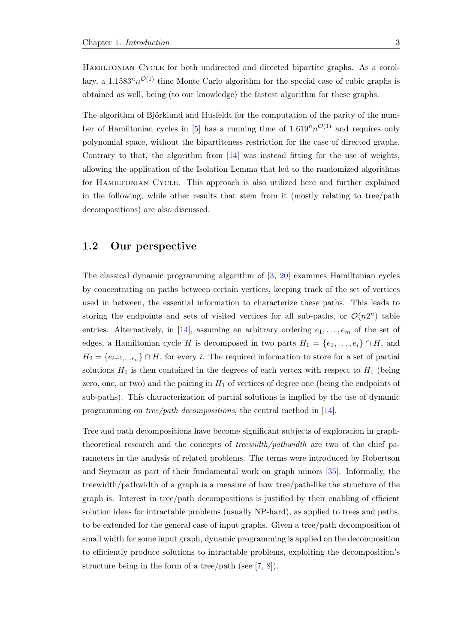HAMILTONIAN CYCLE for both undirected and directed bipartite graphs. As a corollary, a 1.1583<sup>n</sup> $n^{\mathcal{O}(1)}$  time Monte Carlo algorithm for the special case of cubic graphs is obtained as well, being (to our knowledge) the fastest algorithm for these graphs.

The algorithm of Björklund and Husfeldt for the computation of the parity of the num-ber of Hamiltonian cycles in [\[5\]](#page-34-7) has a running time of  $1.619^n n^{\mathcal{O}(1)}$  and requires only polynomial space, without the bipartiteness restriction for the case of directed graphs. Contrary to that, the algorithm from [\[14\]](#page-35-6) was instead fitting for the use of weights, allowing the application of the Isolation Lemma that led to the randomized algorithms for Hamiltonian Cycle. This approach is also utilized here and further explained in the following, while other results that stem from it (mostly relating to tree/path decompositions) are also discussed.

#### <span id="page-6-0"></span>1.2 Our perspective

The classical dynamic programming algorithm of [\[3,](#page-34-2) [20\]](#page-35-2) examines Hamiltonian cycles by concentrating on paths between certain vertices, keeping track of the set of vertices used in between, the essential information to characterize these paths. This leads to storing the endpoints and sets of visited vertices for all sub-paths, or  $\mathcal{O}(n2^n)$  table entries. Alternatively, in [\[14\]](#page-35-6), assuming an arbitrary ordering  $e_1, \ldots, e_m$  of the set of edges, a Hamiltonian cycle H is decomposed in two parts  $H_1 = \{e_1, \ldots, e_i\} \cap H$ , and  $H_2 = \{e_{i+1,\dots,e_n}\}\cap H$ , for every i. The required information to store for a set of partial solutions  $H_1$  is then contained in the degrees of each vertex with respect to  $H_1$  (being zero, one, or two) and the pairing in  $H_1$  of vertices of degree one (being the endpoints of sub-paths). This characterization of partial solutions is implied by the use of dynamic programming on tree/path decompositions, the central method in [\[14\]](#page-35-6).

Tree and path decompositions have become significant subjects of exploration in graphtheoretical research and the concepts of treewidth/pathwidth are two of the chief parameters in the analysis of related problems. The terms were introduced by Robertson and Seymour as part of their fundamental work on graph minors [\[35\]](#page-37-1). Informally, the treewidth/pathwidth of a graph is a measure of how tree/path-like the structure of the graph is. Interest in tree/path decompositions is justified by their enabling of efficient solution ideas for intractable problems (usually NP-hard), as applied to trees and paths, to be extended for the general case of input graphs. Given a tree/path decomposition of small width for some input graph, dynamic programming is applied on the decomposition to efficiently produce solutions to intractable problems, exploiting the decomposition's structure being in the form of a tree/path (see [\[7,](#page-34-8) [8\]](#page-34-9)).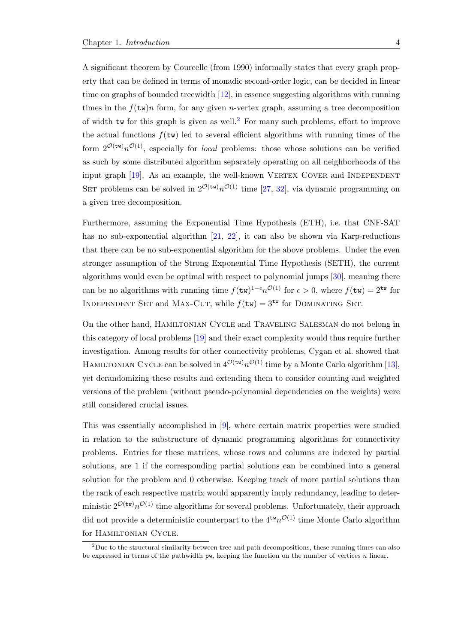A significant theorem by Courcelle (from 1990) informally states that every graph property that can be defined in terms of monadic second-order logic, can be decided in linear time on graphs of bounded treewidth [\[12\]](#page-35-7), in essence suggesting algorithms with running times in the  $f(\text{tw})$  form, for any given *n*-vertex graph, assuming a tree decomposition of width tw for this graph is given as well.<sup>[2](#page-7-0)</sup> For many such problems, effort to improve the actual functions  $f(\mathsf{tw})$  led to several efficient algorithms with running times of the form  $2^{\mathcal{O}(\text{tw})}n^{\mathcal{O}(1)}$ , especially for *local* problems: those whose solutions can be verified as such by some distributed algorithm separately operating on all neighborhoods of the input graph  $[19]$ . As an example, the well-known VERTEX COVER and INDEPENDENT SET problems can be solved in  $2^{\mathcal{O}(\text{tw})} n^{\mathcal{O}(1)}$  time [\[27,](#page-36-5) [32\]](#page-36-6), via dynamic programming on a given tree decomposition.

Furthermore, assuming the Exponential Time Hypothesis (ETH), i.e. that CNF-SAT has no sub-exponential algorithm [\[21,](#page-35-9) [22\]](#page-36-7), it can also be shown via Karp-reductions that there can be no sub-exponential algorithm for the above problems. Under the even stronger assumption of the Strong Exponential Time Hypothesis (SETH), the current algorithms would even be optimal with respect to polynomial jumps [\[30\]](#page-36-8), meaning there can be no algorithms with running time  $f(\text{tw})^{1-\epsilon} n^{\mathcal{O}(1)}$  for  $\epsilon > 0$ , where  $f(\text{tw}) = 2^{\text{tw}}$  for INDEPENDENT SET and MAX-CUT, while  $f(tw) = 3^{tw}$  for DOMINATING SET.

On the other hand, Hamiltonian Cycle and Traveling Salesman do not belong in this category of local problems [\[19\]](#page-35-8) and their exact complexity would thus require further investigation. Among results for other connectivity problems, Cygan et al. showed that HAMILTONIAN CYCLE can be solved in  $4^{\mathcal{O}(\text{tw})} n^{\mathcal{O}(1)}$  time by a Monte Carlo algorithm [\[13\]](#page-35-10), yet derandomizing these results and extending them to consider counting and weighted versions of the problem (without pseudo-polynomial dependencies on the weights) were still considered crucial issues.

This was essentially accomplished in [\[9\]](#page-34-10), where certain matrix properties were studied in relation to the substructure of dynamic programming algorithms for connectivity problems. Entries for these matrices, whose rows and columns are indexed by partial solutions, are 1 if the corresponding partial solutions can be combined into a general solution for the problem and 0 otherwise. Keeping track of more partial solutions than the rank of each respective matrix would apparently imply redundancy, leading to deterministic  $2^{\mathcal{O}(\mathsf{tw})} n^{\mathcal{O}(1)}$  time algorithms for several problems. Unfortunately, their approach did not provide a deterministic counterpart to the  $4^{tw}n^{\mathcal{O}(1)}$  time Monte Carlo algorithm for Hamiltonian Cycle.

<span id="page-7-0"></span> $2$ Due to the structural similarity between tree and path decompositions, these running times can also be expressed in terms of the pathwidth pw, keeping the function on the number of vertices n linear.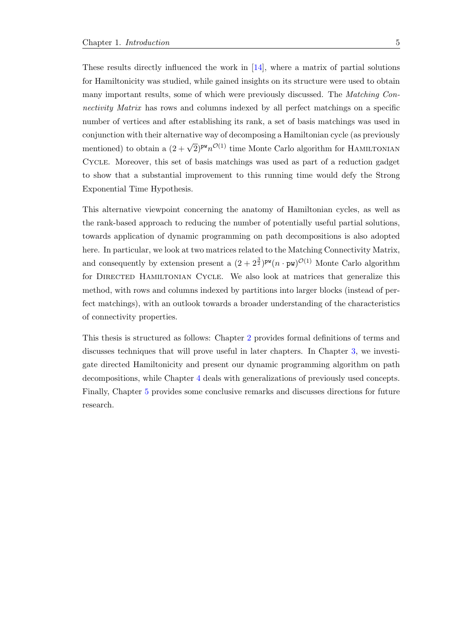These results directly influenced the work in [\[14\]](#page-35-6), where a matrix of partial solutions for Hamiltonicity was studied, while gained insights on its structure were used to obtain many important results, some of which were previously discussed. The Matching Connectivity Matrix has rows and columns indexed by all perfect matchings on a specific number of vertices and after establishing its rank, a set of basis matchings was used in conjunction with their alternative way of decomposing a Hamiltonian cycle (as previously mentioned) to obtain a  $(2 + \sqrt{2})^{pw}n^{O(1)}$  time Monte Carlo algorithm for HAMILTONIAN Cycle. Moreover, this set of basis matchings was used as part of a reduction gadget to show that a substantial improvement to this running time would defy the Strong Exponential Time Hypothesis.

This alternative viewpoint concerning the anatomy of Hamiltonian cycles, as well as the rank-based approach to reducing the number of potentially useful partial solutions, towards application of dynamic programming on path decompositions is also adopted here. In particular, we look at two matrices related to the Matching Connectivity Matrix, and consequently by extension present a  $(2 + 2^{\frac{3}{2}})^{pw}(n \cdot pw)^{\mathcal{O}(1)}$  Monte Carlo algorithm for Directed Hamiltonian Cycle. We also look at matrices that generalize this method, with rows and columns indexed by partitions into larger blocks (instead of perfect matchings), with an outlook towards a broader understanding of the characteristics of connectivity properties.

This thesis is structured as follows: Chapter [2](#page-9-0) provides formal definitions of terms and discusses techniques that will prove useful in later chapters. In Chapter [3,](#page-15-0) we investigate directed Hamiltonicity and present our dynamic programming algorithm on path decompositions, while Chapter [4](#page-25-0) deals with generalizations of previously used concepts. Finally, Chapter [5](#page-33-0) provides some conclusive remarks and discusses directions for future research.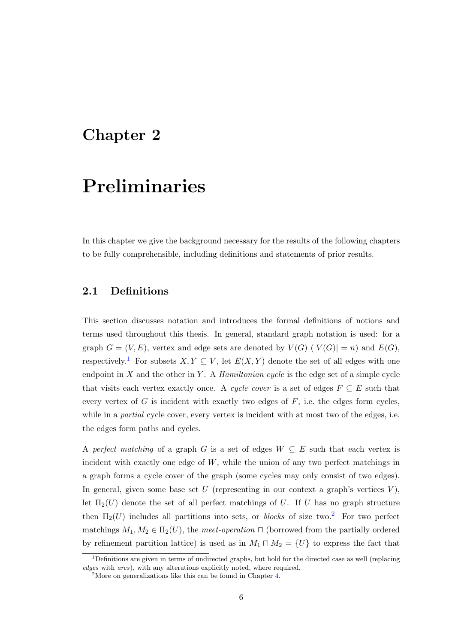### <span id="page-9-0"></span>Chapter 2

# Preliminaries

In this chapter we give the background necessary for the results of the following chapters to be fully comprehensible, including definitions and statements of prior results.

#### <span id="page-9-1"></span>2.1 Definitions

This section discusses notation and introduces the formal definitions of notions and terms used throughout this thesis. In general, standard graph notation is used: for a graph  $G = (V, E)$ , vertex and edge sets are denoted by  $V(G)$   $(|V(G)| = n)$  and  $E(G)$ , respectively.<sup>[1](#page-9-2)</sup> For subsets  $X, Y \subseteq V$ , let  $E(X, Y)$  denote the set of all edges with one endpoint in  $X$  and the other in  $Y$ . A *Hamiltonian cycle* is the edge set of a simple cycle that visits each vertex exactly once. A cycle cover is a set of edges  $F \subseteq E$  such that every vertex of  $G$  is incident with exactly two edges of  $F$ , i.e. the edges form cycles, while in a *partial* cycle cover, every vertex is incident with at most two of the edges, i.e. the edges form paths and cycles.

A perfect matching of a graph G is a set of edges  $W \subseteq E$  such that each vertex is incident with exactly one edge of  $W$ , while the union of any two perfect matchings in a graph forms a cycle cover of the graph (some cycles may only consist of two edges). In general, given some base set  $U$  (representing in our context a graph's vertices  $V$ ), let  $\Pi_2(U)$  denote the set of all perfect matchings of U. If U has no graph structure then  $\Pi_2(U)$  $\Pi_2(U)$  $\Pi_2(U)$  includes all partitions into sets, or *blocks* of size two.<sup>2</sup> For two perfect matchings  $M_1, M_2 \in \Pi_2(U)$ , the meet-operation  $\Box$  (borrowed from the partially ordered by refinement partition lattice) is used as in  $M_1 \sqcap M_2 = \{U\}$  to express the fact that

<span id="page-9-2"></span><sup>&</sup>lt;sup>1</sup>Definitions are given in terms of undirected graphs, but hold for the directed case as well (replacing edges with arcs), with any alterations explicitly noted, where required.

<span id="page-9-3"></span><sup>&</sup>lt;sup>2</sup>More on generalizations like this can be found in Chapter  $4$ .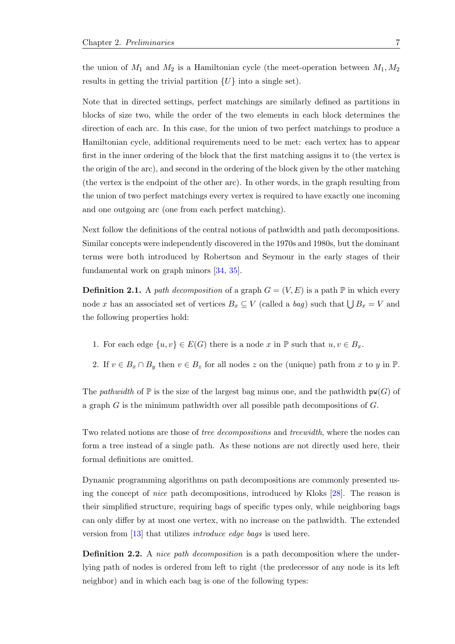the union of  $M_1$  and  $M_2$  is a Hamiltonian cycle (the meet-operation between  $M_1, M_2$ results in getting the trivial partition  $\{U\}$  into a single set).

Note that in directed settings, perfect matchings are similarly defined as partitions in blocks of size two, while the order of the two elements in each block determines the direction of each arc. In this case, for the union of two perfect matchings to produce a Hamiltonian cycle, additional requirements need to be met: each vertex has to appear first in the inner ordering of the block that the first matching assigns it to (the vertex is the origin of the arc), and second in the ordering of the block given by the other matching (the vertex is the endpoint of the other arc). In other words, in the graph resulting from the union of two perfect matchings every vertex is required to have exactly one incoming and one outgoing arc (one from each perfect matching).

Next follow the definitions of the central notions of pathwidth and path decompositions. Similar concepts were independently discovered in the 1970s and 1980s, but the dominant terms were both introduced by Robertson and Seymour in the early stages of their fundamental work on graph minors [\[34,](#page-36-9) [35\]](#page-37-1).

**Definition 2.1.** A path decomposition of a graph  $G = (V, E)$  is a path  $\mathbb{P}$  in which every node x has an associated set of vertices  $B_x \subseteq V$  (called a *bag*) such that  $\bigcup B_x = V$  and the following properties hold:

- 1. For each edge  $\{u, v\} \in E(G)$  there is a node x in  $\mathbb P$  such that  $u, v \in B_x$ .
- 2. If  $v \in B_x \cap B_y$  then  $v \in B_z$  for all nodes z on the (unique) path from x to y in  $\mathbb{P}$ .

The pathwidth of  $\mathbb P$  is the size of the largest bag minus one, and the pathwidth  $\mathsf{pw}(G)$  of a graph  $G$  is the minimum pathwidth over all possible path decompositions of  $G$ .

Two related notions are those of *tree decompositions* and *treewidth*, where the nodes can form a tree instead of a single path. As these notions are not directly used here, their formal definitions are omitted.

Dynamic programming algorithms on path decompositions are commonly presented using the concept of nice path decompositions, introduced by Kloks [\[28\]](#page-36-10). The reason is their simplified structure, requiring bags of specific types only, while neighboring bags can only differ by at most one vertex, with no increase on the pathwidth. The extended version from [\[13\]](#page-35-10) that utilizes introduce edge bags is used here.

Definition 2.2. A nice path decomposition is a path decomposition where the underlying path of nodes is ordered from left to right (the predecessor of any node is its left neighbor) and in which each bag is one of the following types: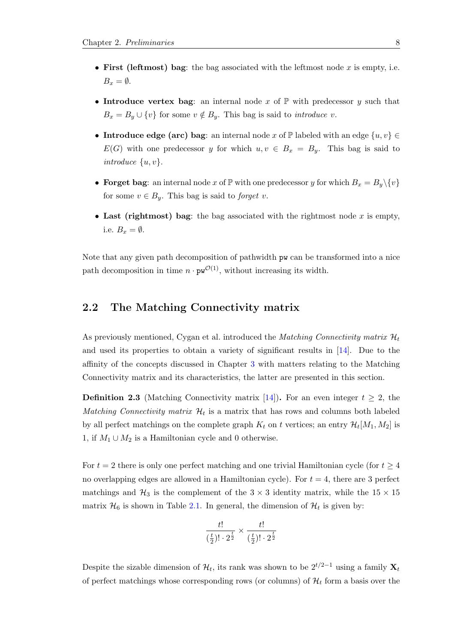- First (leftmost) bag: the bag associated with the leftmost node  $x$  is empty, i.e.  $B<sub>x</sub> = \emptyset$ .
- Introduce vertex bag: an internal node x of  $\mathbb P$  with predecessor y such that  $B_x = B_y \cup \{v\}$  for some  $v \notin B_y$ . This bag is said to *introduce v*.
- Introduce edge (arc) bag: an internal node x of  $\mathbb P$  labeled with an edge  $\{u, v\} \in$  $E(G)$  with one predecessor y for which  $u, v \in B_x = B_y$ . This bag is said to introduce  $\{u, v\}.$
- Forget bag: an internal node x of  $\mathbb P$  with one predecessor y for which  $B_x = B_y \setminus \{v\}$ for some  $v \in B_y$ . This bag is said to *forget v*.
- Last (rightmost) bag: the bag associated with the rightmost node  $x$  is empty, i.e.  $B_x = \emptyset$ .

Note that any given path decomposition of pathwidth pw can be transformed into a nice path decomposition in time  $n \cdot \mathbf{pw}^{\mathcal{O}(1)}$ , without increasing its width.

#### <span id="page-11-0"></span>2.2 The Matching Connectivity matrix

As previously mentioned, Cygan et al. introduced the *Matching Connectivity matrix*  $\mathcal{H}_t$ and used its properties to obtain a variety of significant results in [\[14\]](#page-35-6). Due to the affinity of the concepts discussed in Chapter [3](#page-15-0) with matters relating to the Matching Connectivity matrix and its characteristics, the latter are presented in this section.

**Definition 2.3** (Matching Connectivity matrix [\[14\]](#page-35-6)). For an even integer  $t \geq 2$ , the Matching Connectivity matrix  $\mathcal{H}_t$  is a matrix that has rows and columns both labeled by all perfect matchings on the complete graph  $K_t$  on t vertices; an entry  $\mathcal{H}_t[M_1, M_2]$  is 1, if  $M_1 \cup M_2$  is a Hamiltonian cycle and 0 otherwise.

For  $t = 2$  there is only one perfect matching and one trivial Hamiltonian cycle (for  $t \geq 4$ ) no overlapping edges are allowed in a Hamiltonian cycle). For  $t = 4$ , there are 3 perfect matchings and  $\mathcal{H}_3$  is the complement of the  $3 \times 3$  identity matrix, while the  $15 \times 15$ matrix  $\mathcal{H}_6$  is shown in Table [2.1.](#page-12-0) In general, the dimension of  $\mathcal{H}_t$  is given by:

$$
\frac{t!}{(\frac{t}{2})! \cdot 2^{\frac{t}{2}}} \times \frac{t!}{(\frac{t}{2})! \cdot 2^{\frac{t}{2}}}
$$

Despite the sizable dimension of  $\mathcal{H}_t$ , its rank was shown to be  $2^{t/2-1}$  using a family  $\mathbf{X}_t$ of perfect matchings whose corresponding rows (or columns) of  $\mathcal{H}_t$  form a basis over the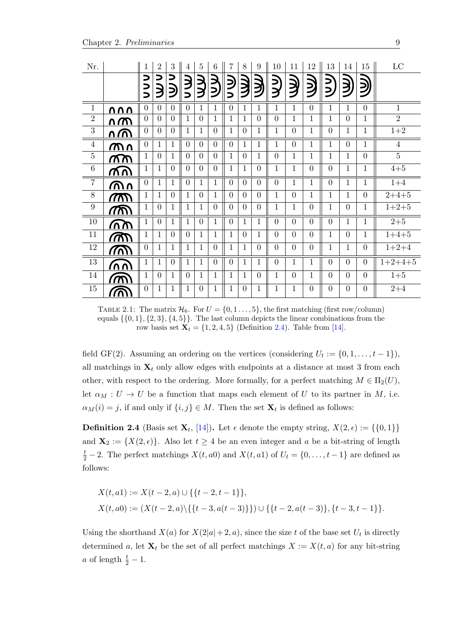<span id="page-12-0"></span>

| Nr.              |              | $\mathbf{1}$   | $\overline{2}$ | $\boldsymbol{3}$ | 4                             | $\overline{5}$ | 6              | 7              | 8              | 9            | 10             | 11             | 12             | 13             | 14             | 15             | $\rm LC$       |
|------------------|--------------|----------------|----------------|------------------|-------------------------------|----------------|----------------|----------------|----------------|--------------|----------------|----------------|----------------|----------------|----------------|----------------|----------------|
|                  |              | ⊃<br>っっ        | Э              | ⊃<br>ミ           | 3<br>$\overline{\phantom{1}}$ | <b>NA</b>      | レ<br>シ         | $\supseteq$    | <b>)</b>       | 〕            | ミン             | ミン             | <b>JSD</b>     | コン             | <u>)</u>       | 〕<br>少         |                |
| $\overline{1}$   | <u>UUU</u>   | $\theta$       | $\Omega$       | $\Omega$         | $\Omega$                      | 1              | 1              | $\Omega$       | 1              | 1            | 1              | $\mathbf{1}$   | $\overline{0}$ | $\mathbf{1}$   | 1              | $\theta$       | $\mathbf{1}$   |
| $\sqrt{2}$       | <u>ሰጠ</u>    | $\theta$       | $\Omega$       | $\Omega$         | 1                             | $\Omega$       | 1              | $\mathbf{1}$   | $\mathbf{1}$   | $\Omega$     | $\theta$       | $\mathbf{1}$   | $\mathbf{1}$   | $\mathbf{1}$   | $\overline{0}$ | $\mathbf{1}$   | $\overline{2}$ |
| $\overline{3}$   | <u>n W</u>   | $\overline{0}$ | $\Omega$       | $\Omega$         | 1                             | $\mathbf{1}$   | $\overline{0}$ | $\mathbf{1}$   | $\theta$       | 1            | $\mathbf{1}$   | $\overline{0}$ | $\mathbf{1}$   | $\overline{0}$ | $\mathbf{1}$   | $\mathbf{1}$   | $1\!+\!2$      |
| $\overline{4}$   | <u>ጠ ስ</u>   | $\overline{0}$ | $\mathbf{1}$   | $\mathbf{1}$     | $\theta$                      | $\overline{0}$ | $\theta$       | $\overline{0}$ | $\mathbf{1}$   | 1            | $\mathbf{1}$   | $\overline{0}$ | $\mathbf{1}$   | $\mathbf{1}$   | $\overline{0}$ | $\mathbf{1}$   | $\overline{4}$ |
| $\bf 5$          | ൯൹           | $\mathbf{1}$   | $\Omega$       | $\mathbf{1}$     | $\overline{0}$                | $\overline{0}$ | $\theta$       | $\mathbf{1}$   | $\overline{0}$ | $\mathbf{1}$ | $\overline{0}$ | $\mathbf{1}$   | $\mathbf{1}$   | $\mathbf{1}$   | $\mathbf{1}$   | $\theta$       | $\overline{5}$ |
| $\overline{6}$   | ൯൜           | $\mathbf{1}$   | $\mathbf{1}$   | $\theta$         | $\theta$                      | $\Omega$       | $\overline{0}$ | $\mathbf{1}$   | $\mathbf{1}$   | $\theta$     | $\mathbf{1}$   | $\mathbf{1}$   | $\overline{0}$ | $\overline{0}$ | $\mathbf{1}$   | $\mathbf{1}$   | $4 + 5$        |
| $\overline{7}$   | <u>ጠስ</u>    | $\theta$       | 1              | 1                | $\Omega$                      | 1              | 1              | $\theta$       | $\Omega$       | $\Omega$     | $\Omega$       | $\mathbf{1}$   | 1              | $\Omega$       | 1              | 1              | $1 + 4$        |
| $8\,$            | $\sqrt{100}$ | $\mathbf{1}$   | 1              | $\Omega$         | 1                             | $\Omega$       | $\mathbf{1}$   | $\Omega$       | $\theta$       | $\Omega$     | $\mathbf{1}$   | $\theta$       | $\mathbf{1}$   | $\mathbf{1}$   | $\mathbf{1}$   | $\theta$       | $2 + 4 + 5$    |
| $\boldsymbol{9}$ | അ            | $\mathbf 1$    | $\Omega$       | $\mathbf{1}$     | 1                             | $\mathbf{1}$   | $\Omega$       | $\Omega$       | $\Omega$       | $\Omega$     | $\mathbf{1}$   | $\mathbf{1}$   | $\overline{0}$ | $\mathbf{1}$   | $\overline{0}$ | $\mathbf{1}$   | $1+2+5$        |
| 10               | ጠ            | $\mathbf{1}$   | $\Omega$       | $\mathbf{1}$     | 1                             | $\Omega$       | 1              | $\theta$       | 1              | 1            | $\Omega$       | $\overline{0}$ | $\overline{0}$ | $\overline{0}$ | 1              | $\mathbf{1}$   | $2 + 5$        |
| $11\,$           | <u>/መ/</u>   | $\mathbf{1}$   | $\mathbf{1}$   | $\theta$         | $\Omega$                      | 1              | $\mathbf{1}$   | $\mathbf{1}$   | $\Omega$       | 1            | $\Omega$       | $\overline{0}$ | $\overline{0}$ | $\mathbf{1}$   | $\overline{0}$ | $\mathbf{1}$   | $1 + 4 + 5$    |
| $12\,$           | <u>/እን</u>   | $\overline{0}$ | $\mathbf{1}$   | $\mathbf{1}$     | 1                             | $\mathbf{1}$   | $\overline{0}$ | $\mathbf{1}$   | $\mathbf{1}$   | $\Omega$     | $\overline{0}$ | $\overline{0}$ | $\overline{0}$ | $\mathbf{1}$   | $\mathbf{1}$   | $\theta$       | $1+2+4$        |
| 13               | سس           | $\mathbf{1}$   | $\mathbf{1}$   | $\Omega$         | 1                             | $\mathbf{1}$   | $\theta$       | $\theta$       | $\mathbf{1}$   | 1            | $\Omega$       | $\mathbf{1}$   | $\mathbf{1}$   | $\overline{0}$ | $\overline{0}$ | $\theta$       | $1+2+4+5$      |
| 14               | m            | $\mathbf{1}$   | $\Omega$       | $\mathbf{1}$     | $\Omega$                      | $\mathbf{1}$   | 1              | $\mathbf{1}$   | $\mathbf{1}$   | $\Omega$     | $\mathbf{1}$   | $\overline{0}$ | $\mathbf{1}$   | $\overline{0}$ | $\overline{0}$ | $\theta$       | $1 + 5$        |
| $15\,$           | ⋒            | $\theta$       | 1              | 1                | 1                             | $\theta$       | 1              | $\mathbf 1$    | $\Omega$       | 1            | $\mathbf{1}$   | $\mathbf{1}$   | $\overline{0}$ | $\overline{0}$ | $\overline{0}$ | $\overline{0}$ | $2\!+\!4$      |

TABLE 2.1: The matrix  $\mathcal{H}_6$ . For  $U = \{0, 1, \ldots, 5\}$ , the first matching (first row/column) equals  $\{\{0, 1\}, \{2, 3\}, \{4, 5\}\}.$  The last column depicts the linear combinations from the row basis set  $\mathbf{X}_t = \{1, 2, 4, 5\}$  (Definition [2.4\)](#page-12-1). Table from [\[14\]](#page-35-6).

field GF(2). Assuming an ordering on the vertices (considering  $U_t := \{0, 1, \ldots, t-1\}$ ), all matchings in  $X_t$  only allow edges with endpoints at a distance at most 3 from each other, with respect to the ordering. More formally, for a perfect matching  $M \in \Pi_2(U)$ , let  $\alpha_M : U \to U$  be a function that maps each element of U to its partner in M, i.e.  $\alpha_M(i) = j$ , if and only if  $\{i, j\} \in M$ . Then the set  $\mathbf{X}_t$  is defined as follows:

<span id="page-12-1"></span>**Definition 2.4** (Basis set  $\mathbf{X}_t$ , [\[14\]](#page-35-6)). Let  $\epsilon$  denote the empty string,  $X(2,\epsilon) := \{\{0,1\}\}\$ and  $\mathbf{X}_2 := \{X(2, \epsilon)\}\.$  Also let  $t \geq 4$  be an even integer and a be a bit-string of length  $\frac{t}{2}$  – 2. The perfect matchings  $X(t, a0)$  and  $X(t, a1)$  of  $U_t = \{0, \ldots, t-1\}$  are defined as follows:

$$
X(t, a1) := X(t-2, a) \cup \{\{t-2, t-1\}\},
$$
  

$$
X(t, a0) := (X(t-2, a) \setminus \{\{t-3, a(t-3)\}\}) \cup \{\{t-2, a(t-3)\}, \{t-3, t-1\}\}.
$$

Using the shorthand  $X(a)$  for  $X(2|a|+2, a)$ , since the size t of the base set  $U_t$  is directly determined a, let  $X_t$  be the set of all perfect matchings  $X := X(t, a)$  for any bit-string a of length  $\frac{t}{2} - 1$ .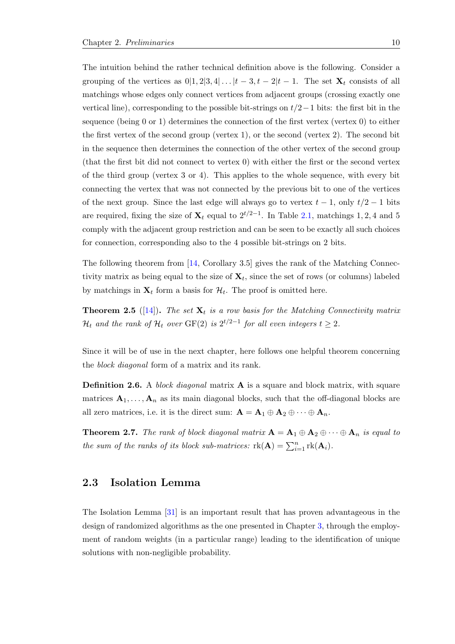The intuition behind the rather technical definition above is the following. Consider a grouping of the vertices as  $0|1, 2|3, 4|...|t-3, t-2|t-1$ . The set  $\mathbf{X}_t$  consists of all matchings whose edges only connect vertices from adjacent groups (crossing exactly one vertical line), corresponding to the possible bit-strings on  $t/2-1$  bits: the first bit in the sequence (being 0 or 1) determines the connection of the first vertex (vertex 0) to either the first vertex of the second group (vertex 1), or the second (vertex 2). The second bit in the sequence then determines the connection of the other vertex of the second group (that the first bit did not connect to vertex 0) with either the first or the second vertex of the third group (vertex 3 or 4). This applies to the whole sequence, with every bit connecting the vertex that was not connected by the previous bit to one of the vertices of the next group. Since the last edge will always go to vertex  $t - 1$ , only  $t/2 - 1$  bits are required, fixing the size of  $\mathbf{X}_t$  equal to  $2^{t/2-1}$ . In Table [2.1,](#page-12-0) matchings 1, 2, 4 and 5 comply with the adjacent group restriction and can be seen to be exactly all such choices for connection, corresponding also to the 4 possible bit-strings on 2 bits.

The following theorem from  $\vert 14$ , Corollary 3.5 gives the rank of the Matching Connectivity matrix as being equal to the size of  $X_t$ , since the set of rows (or columns) labeled by matchings in  $\mathbf{X}_t$  form a basis for  $\mathcal{H}_t$ . The proof is omitted here.

<span id="page-13-1"></span>**Theorem 2.5** ([\[14\]](#page-35-6)). The set  $X_t$  is a row basis for the Matching Connectivity matrix  $\mathcal{H}_t$  and the rank of  $\mathcal{H}_t$  over  $\mathrm{GF}(2)$  is  $2^{t/2-1}$  for all even integers  $t\geq 2.$ 

Since it will be of use in the next chapter, here follows one helpful theorem concerning the block diagonal form of a matrix and its rank.

<span id="page-13-2"></span>**Definition 2.6.** A block diagonal matrix **A** is a square and block matrix, with square matrices  $A_1, \ldots, A_n$  as its main diagonal blocks, such that the off-diagonal blocks are all zero matrices, i.e. it is the direct sum:  $\mathbf{A} = \mathbf{A}_1 \oplus \mathbf{A}_2 \oplus \cdots \oplus \mathbf{A}_n$ .

<span id="page-13-3"></span>**Theorem 2.7.** The rank of block diagonal matrix  $A = A_1 \oplus A_2 \oplus \cdots \oplus A_n$  is equal to the sum of the ranks of its block sub-matrices:  $rk(A) = \sum_{i=1}^{n} rk(A_i)$ .

#### <span id="page-13-0"></span>2.3 Isolation Lemma

The Isolation Lemma [\[31\]](#page-36-11) is an important result that has proven advantageous in the design of randomized algorithms as the one presented in Chapter [3,](#page-15-0) through the employment of random weights (in a particular range) leading to the identification of unique solutions with non-negligible probability.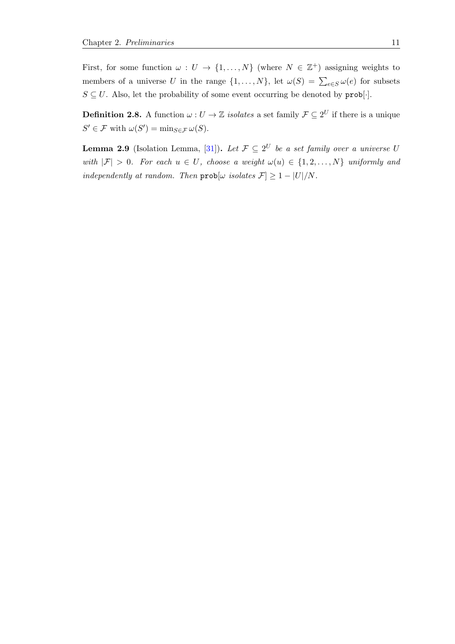First, for some function  $\omega: U \to \{1, ..., N\}$  (where  $N \in \mathbb{Z}^+$ ) assigning weights to members of a universe U in the range  $\{1, \ldots, N\}$ , let  $\omega(S) = \sum_{e \in S} \omega(e)$  for subsets  $S \subseteq U$ . Also, let the probability of some event occurring be denoted by  $\text{prob}[\cdot]$ .

**Definition 2.8.** A function  $\omega: U \to \mathbb{Z}$  isolates a set family  $\mathcal{F} \subseteq 2^U$  if there is a unique  $S' \in \mathcal{F}$  with  $\omega(S') = \min_{S \in \mathcal{F}} \omega(S)$ .

<span id="page-14-0"></span>**Lemma 2.9** (Isolation Lemma, [\[31\]](#page-36-11)). Let  $\mathcal{F} \subseteq 2^U$  be a set family over a universe U with  $|\mathcal{F}| > 0$ . For each  $u \in U$ , choose a weight  $\omega(u) \in \{1, 2, ..., N\}$  uniformly and independently at random. Then  $prob[\omega \text{ isolates } \mathcal{F}] \geq 1 - |U|/N$ .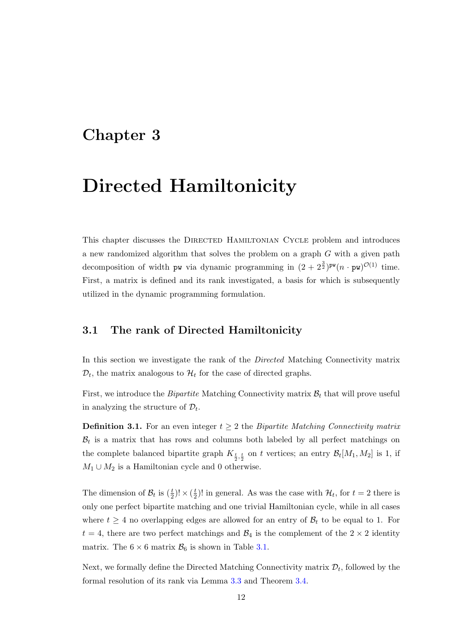### <span id="page-15-0"></span>Chapter 3

# Directed Hamiltonicity

This chapter discusses the DIRECTED HAMILTONIAN CYCLE problem and introduces a new randomized algorithm that solves the problem on a graph G with a given path decomposition of width pw via dynamic programming in  $(2 + 2^{\frac{3}{2}})^{pw}(n \cdot pw)^{\mathcal{O}(1)}$  time. First, a matrix is defined and its rank investigated, a basis for which is subsequently utilized in the dynamic programming formulation.

#### <span id="page-15-1"></span>3.1 The rank of Directed Hamiltonicity

In this section we investigate the rank of the Directed Matching Connectivity matrix  $\mathcal{D}_t$ , the matrix analogous to  $\mathcal{H}_t$  for the case of directed graphs.

First, we introduce the *Bipartite* Matching Connectivity matrix  $B_t$  that will prove useful in analyzing the structure of  $\mathcal{D}_t$ .

**Definition 3.1.** For an even integer  $t \geq 2$  the *Bipartite Matching Connectivity matrix*  $\mathcal{B}_t$  is a matrix that has rows and columns both labeled by all perfect matchings on the complete balanced bipartite graph  $K_{\frac{t}{2},\frac{t}{2}}$  on t vertices; an entry  $\mathcal{B}_t[M_1,M_2]$  is 1, if  $M_1 \cup M_2$  is a Hamiltonian cycle and 0 otherwise.

The dimension of  $\mathcal{B}_t$  is  $(\frac{t}{2})! \times (\frac{t}{2})$  $\frac{t}{2}$ ! in general. As was the case with  $\mathcal{H}_t$ , for  $t = 2$  there is only one perfect bipartite matching and one trivial Hamiltonian cycle, while in all cases where  $t \geq 4$  no overlapping edges are allowed for an entry of  $\mathcal{B}_t$  to be equal to 1. For  $t = 4$ , there are two perfect matchings and  $\mathcal{B}_4$  is the complement of the  $2 \times 2$  identity matrix. The  $6 \times 6$  matrix  $\mathcal{B}_6$  is shown in Table [3.1.](#page-16-0)

Next, we formally define the Directed Matching Connectivity matrix  $\mathcal{D}_t$ , followed by the formal resolution of its rank via Lemma [3.3](#page-16-1) and Theorem [3.4.](#page-16-2)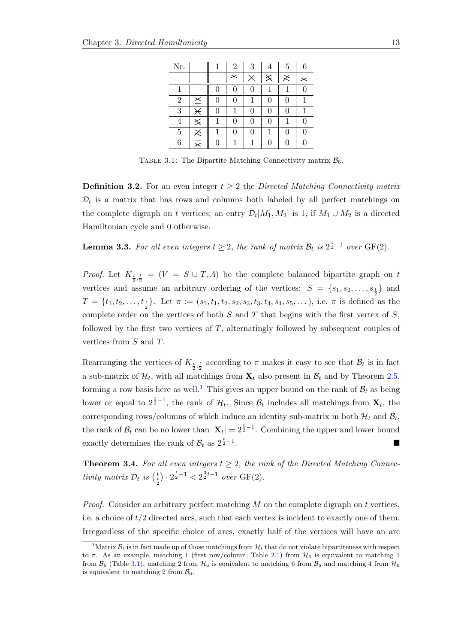<span id="page-16-0"></span>

| Nr.            |                        |    | $\overline{2}$ | 3         | 4 | 5        | 6              |
|----------------|------------------------|----|----------------|-----------|---|----------|----------------|
|                |                        | ÷. | $\mathbf{a}$   | $\rtimes$ | ╳ | $\asymp$ | $\times$       |
| 1              | Ξ                      | 0  | 0              | 0         | 1 |          | $\overline{0}$ |
| $\overline{2}$ | $\overline{\times}$    | 0  | 0              |           | 0 | 0        |                |
| 3              | $\overline{\varkappa}$ | 0  | 1              | 0         | 0 |          | 1              |
| 4              | $\times$               |    | 0              | 0         | 0 |          | 0              |
| $\overline{5}$ | $\times$               |    | 0              | 0         | 1 | 0        | 0              |
| 6              | $\equiv$               | 0  |                |           | 0 | 0        | 0              |

TABLE 3.1: The Bipartite Matching Connectivity matrix  $\mathcal{B}_6$ .

<span id="page-16-4"></span>**Definition 3.2.** For an even integer  $t \geq 2$  the Directed Matching Connectivity matrix  $\mathcal{D}_t$  is a matrix that has rows and columns both labeled by all perfect matchings on the complete digraph on t vertices; an entry  $\mathcal{D}_t[M_1, M_2]$  is 1, if  $M_1 \cup M_2$  is a directed Hamiltonian cycle and 0 otherwise.

<span id="page-16-1"></span>**Lemma 3.3.** For all even integers  $t \geq 2$ , the rank of matrix  $\mathcal{B}_t$  is  $2^{\frac{t}{2}-1}$  over  $GF(2)$ .

*Proof.* Let  $K_{\frac{t}{2},\frac{t}{2}} = (V = S \cup T, A)$  be the complete balanced bipartite graph on t vertices and assume an arbitrary ordering of the vertices:  $S = \{s_1, s_2, \ldots, s_{\frac{t}{2}}\}$  and  $T = \{t_1, t_2, \ldots, t_{\frac{t}{2}}\}$ . Let  $\pi := (s_1, t_1, t_2, s_2, s_3, t_3, t_4, s_4, s_5, \ldots)$ , i.e.  $\pi$  is defined as the complete order on the vertices of both  $S$  and  $T$  that begins with the first vertex of  $S$ , followed by the first two vertices of  $T$ , alternatingly followed by subsequent couples of vertices from S and T.

Rearranging the vertices of  $K_{\frac{t}{2},\frac{t}{2}}$  according to  $\pi$  makes it easy to see that  $\mathcal{B}_t$  is in fact a sub-matrix of  $\mathcal{H}_t$ , with all matchings from  $\mathbf{X}_t$  also present in  $\mathcal{B}_t$  and by Theorem [2.5,](#page-13-1) forming a row basis here as well.<sup>[1](#page-16-3)</sup> This gives an upper bound on the rank of  $\mathcal{B}_t$  as being lower or equal to  $2^{\frac{t}{2}-1}$ , the rank of  $\mathcal{H}_t$ . Since  $\mathcal{B}_t$  includes all matchings from  $\mathbf{X}_t$ , the corresponding rows/columns of which induce an identity sub-matrix in both  $\mathcal{H}_t$  and  $\mathcal{B}_t$ , the rank of  $B_t$  can be no lower than  $|\mathbf{X}_t| = 2^{\frac{t}{2}-1}$ . Combining the upper and lower bound exactly determines the rank of  $\mathcal{B}_t$  as  $2^{\frac{t}{2}-1}$ .

<span id="page-16-2"></span>**Theorem 3.4.** For all even integers  $t \geq 2$ , the rank of the Directed Matching Connectivity matrix  $\mathcal{D}_t$  is  $\left(\frac{t}{2}\right) \cdot 2^{\frac{t}{2}-1} < 2^{\frac{3}{2}t-1}$  over  $GF(2)$ .

*Proof.* Consider an arbitrary perfect matching  $M$  on the complete digraph on  $t$  vertices, i.e. a choice of t/2 directed arcs, such that each vertex is incident to exactly one of them. Irregardless of the specific choice of arcs, exactly half of the vertices will have an arc

<span id="page-16-3"></span><sup>&</sup>lt;sup>1</sup>Matrix  $B_t$  is in fact made up of those matchings from  $\mathcal{H}_t$  that do not violate bipartiteness with respect to  $\pi$ . As an example, matching 1 (first row/column, Table [2.1\)](#page-12-0) from  $\mathcal{H}_6$  is equivalent to matching 1 from  $\mathcal{B}_6$  (Table [3.1\)](#page-16-0), matching 2 from  $\mathcal{H}_6$  is equivalent to matching 6 from  $\mathcal{B}_6$  and matching 4 from  $\mathcal{H}_6$ is equivalent to matching 2 from  $\mathcal{B}_6$ .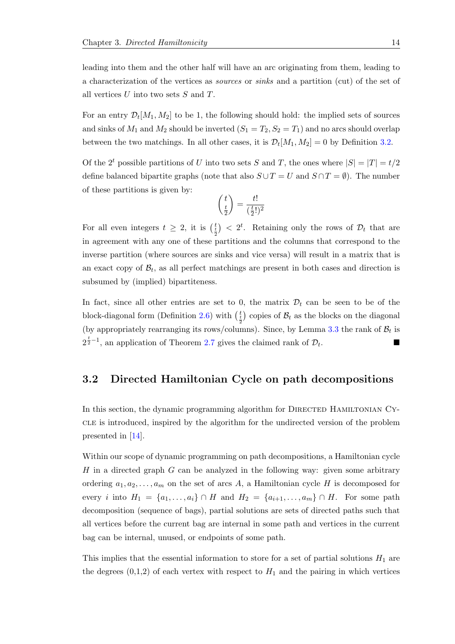leading into them and the other half will have an arc originating from them, leading to a characterization of the vertices as sources or sinks and a partition (cut) of the set of all vertices  $U$  into two sets  $S$  and  $T$ .

For an entry  $\mathcal{D}_t[M_1, M_2]$  to be 1, the following should hold: the implied sets of sources and sinks of  $M_1$  and  $M_2$  should be inverted  $(S_1 = T_2, S_2 = T_1)$  and no arcs should overlap between the two matchings. In all other cases, it is  $\mathcal{D}_t[M_1, M_2] = 0$  by Definition [3.2.](#page-16-4)

Of the 2<sup>t</sup> possible partitions of U into two sets S and T, the ones where  $|S| = |T| = t/2$ define balanced bipartite graphs (note that also  $S \cup T = U$  and  $S \cap T = \emptyset$ ). The number of these partitions is given by:

$$
\binom{t}{\frac{t}{2}} = \frac{t!}{(\frac{t}{2}!)^2}
$$

For all even integers  $t \geq 2$ , it is  $\left(\frac{t}{2}\right) < 2^t$ . Retaining only the rows of  $\mathcal{D}_t$  that are in agreement with any one of these partitions and the columns that correspond to the inverse partition (where sources are sinks and vice versa) will result in a matrix that is an exact copy of  $\mathcal{B}_t$ , as all perfect matchings are present in both cases and direction is subsumed by (implied) bipartiteness.

In fact, since all other entries are set to 0, the matrix  $\mathcal{D}_t$  can be seen to be of the block-diagonal form (Definition [2.6\)](#page-13-2) with  $\binom{t}{\frac{t}{2}}$  copies of  $\mathcal{B}_t$  as the blocks on the diagonal (by appropriately rearranging its rows/columns). Since, by Lemma [3.3](#page-16-1) the rank of  $B_t$  is  $2^{\frac{t}{2}-1}$ , an application of Theorem [2.7](#page-13-3) gives the claimed rank of  $\mathcal{D}_t$ .

#### <span id="page-17-0"></span>3.2 Directed Hamiltonian Cycle on path decompositions

In this section, the dynamic programming algorithm for DIRECTED HAMILTONIAN CYcle is introduced, inspired by the algorithm for the undirected version of the problem presented in [\[14\]](#page-35-6).

Within our scope of dynamic programming on path decompositions, a Hamiltonian cycle  $H$  in a directed graph  $G$  can be analyzed in the following way: given some arbitrary ordering  $a_1, a_2, \ldots, a_m$  on the set of arcs A, a Hamiltonian cycle H is decomposed for every *i* into  $H_1 = \{a_1, \ldots, a_i\} \cap H$  and  $H_2 = \{a_{i+1}, \ldots, a_m\} \cap H$ . For some path decomposition (sequence of bags), partial solutions are sets of directed paths such that all vertices before the current bag are internal in some path and vertices in the current bag can be internal, unused, or endpoints of some path.

This implies that the essential information to store for a set of partial solutions  $H_1$  are the degrees  $(0,1,2)$  of each vertex with respect to  $H_1$  and the pairing in which vertices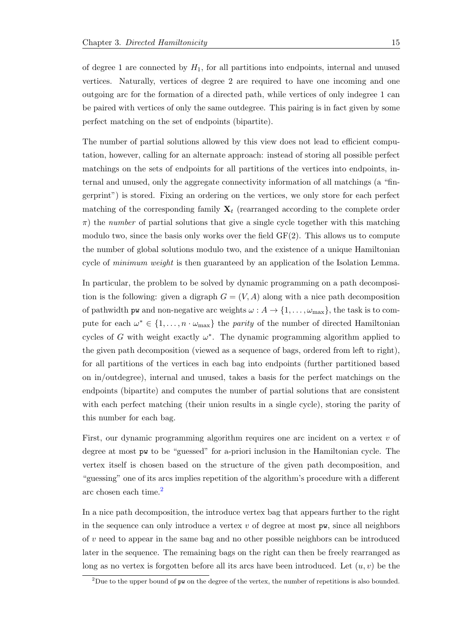of degree 1 are connected by  $H_1$ , for all partitions into endpoints, internal and unused vertices. Naturally, vertices of degree 2 are required to have one incoming and one outgoing arc for the formation of a directed path, while vertices of only indegree 1 can be paired with vertices of only the same outdegree. This pairing is in fact given by some perfect matching on the set of endpoints (bipartite).

The number of partial solutions allowed by this view does not lead to efficient computation, however, calling for an alternate approach: instead of storing all possible perfect matchings on the sets of endpoints for all partitions of the vertices into endpoints, internal and unused, only the aggregate connectivity information of all matchings (a "fingerprint") is stored. Fixing an ordering on the vertices, we only store for each perfect matching of the corresponding family  $X_t$  (rearranged according to the complete order  $\pi$ ) the number of partial solutions that give a single cycle together with this matching modulo two, since the basis only works over the field  $GF(2)$ . This allows us to compute the number of global solutions modulo two, and the existence of a unique Hamiltonian cycle of *minimum weight* is then guaranteed by an application of the Isolation Lemma.

In particular, the problem to be solved by dynamic programming on a path decomposition is the following: given a digraph  $G = (V, A)$  along with a nice path decomposition of pathwidth pw and non-negative arc weights  $\omega : A \to \{1, \ldots, \omega_{\text{max}}\},$  the task is to compute for each  $\omega^* \in \{1, \ldots, n \cdot \omega_{\text{max}}\}\$ the *parity* of the number of directed Hamiltonian cycles of G with weight exactly  $\omega^*$ . The dynamic programming algorithm applied to the given path decomposition (viewed as a sequence of bags, ordered from left to right), for all partitions of the vertices in each bag into endpoints (further partitioned based on in/outdegree), internal and unused, takes a basis for the perfect matchings on the endpoints (bipartite) and computes the number of partial solutions that are consistent with each perfect matching (their union results in a single cycle), storing the parity of this number for each bag.

First, our dynamic programming algorithm requires one arc incident on a vertex v of degree at most pw to be "guessed" for a-priori inclusion in the Hamiltonian cycle. The vertex itself is chosen based on the structure of the given path decomposition, and "guessing" one of its arcs implies repetition of the algorithm's procedure with a different arc chosen each time.[2](#page-18-0)

In a nice path decomposition, the introduce vertex bag that appears further to the right in the sequence can only introduce a vertex  $v$  of degree at most pw, since all neighbors of v need to appear in the same bag and no other possible neighbors can be introduced later in the sequence. The remaining bags on the right can then be freely rearranged as long as no vertex is forgotten before all its arcs have been introduced. Let  $(u, v)$  be the

<span id="page-18-0"></span><sup>&</sup>lt;sup>2</sup>Due to the upper bound of  $pw$  on the degree of the vertex, the number of repetitions is also bounded.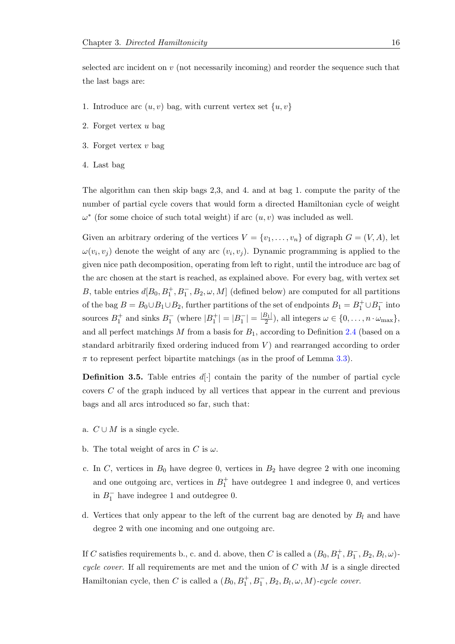selected arc incident on  $v$  (not necessarily incoming) and reorder the sequence such that the last bags are:

- 1. Introduce arc  $(u, v)$  bag, with current vertex set  $\{u, v\}$
- 2. Forget vertex u bag
- 3. Forget vertex  $v$  bag
- 4. Last bag

The algorithm can then skip bags 2,3, and 4. and at bag 1. compute the parity of the number of partial cycle covers that would form a directed Hamiltonian cycle of weight  $\omega^*$  (for some choice of such total weight) if arc  $(u, v)$  was included as well.

Given an arbitrary ordering of the vertices  $V = \{v_1, \ldots, v_n\}$  of digraph  $G = (V, A)$ , let  $\omega(v_i, v_j)$  denote the weight of any arc  $(v_i, v_j)$ . Dynamic programming is applied to the given nice path decomposition, operating from left to right, until the introduce arc bag of the arc chosen at the start is reached, as explained above. For every bag, with vertex set B, table entries  $d[B_0, B_1^+, B_1^-, B_2, \omega, M]$  (defined below) are computed for all partitions of the bag  $B = B_0 \cup B_1 \cup B_2$ , further partitions of the set of endpoints  $B_1 = B_1^+ \cup B_1^-$  into sources  $B_1^+$  and sinks  $B_1^-$  (where  $|B_1^+| = |B_1^-| = \frac{|B_1|}{2}$  $\frac{\sigma_{11}}{2}$ , all integers  $\omega \in \{0, \ldots, n \cdot \omega_{\max}\},$ and all perfect matchings  $M$  from a basis for  $B_1$ , according to Definition [2.4](#page-12-1) (based on a standard arbitrarily fixed ordering induced from  $V$ ) and rearranged according to order  $\pi$  to represent perfect bipartite matchings (as in the proof of Lemma [3.3\)](#page-16-1).

**Definition 3.5.** Table entries  $d[\cdot]$  contain the parity of the number of partial cycle covers C of the graph induced by all vertices that appear in the current and previous bags and all arcs introduced so far, such that:

- a.  $C \cup M$  is a single cycle.
- b. The total weight of arcs in C is  $\omega$ .
- c. In C, vertices in  $B_0$  have degree 0, vertices in  $B_2$  have degree 2 with one incoming and one outgoing arc, vertices in  $B_1^+$  have outdegree 1 and indegree 0, and vertices in  $B_1^-$  have indegree 1 and outdegree 0.
- d. Vertices that only appear to the left of the current bag are denoted by  $B_l$  and have degree 2 with one incoming and one outgoing arc.

If C satisfies requirements b., c. and d. above, then C is called a  $(B_0, B_1^+, B_1^-, B_2, B_l, \omega)$ cycle cover. If all requirements are met and the union of  $C$  with  $M$  is a single directed Hamiltonian cycle, then C is called a  $(B_0, B_1^+, B_1^-, B_2, B_l, \omega, M)$ -cycle cover.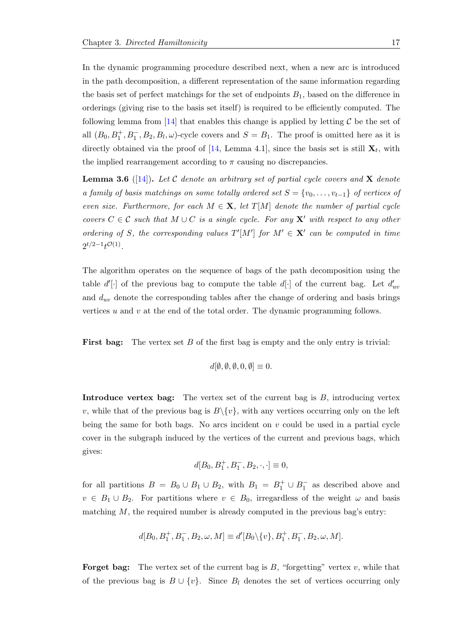In the dynamic programming procedure described next, when a new arc is introduced in the path decomposition, a different representation of the same information regarding the basis set of perfect matchings for the set of endpoints  $B_1$ , based on the difference in orderings (giving rise to the basis set itself) is required to be efficiently computed. The following lemma from [\[14\]](#page-35-6) that enables this change is applied by letting  $\mathcal C$  be the set of all  $(B_0, B_1^+, B_1^-, B_2, B_l, \omega)$ -cycle covers and  $S = B_1$ . The proof is omitted here as it is directly obtained via the proof of [\[14,](#page-35-6) Lemma 4.1], since the basis set is still  $\mathbf{X}_t$ , with the implied rearrangement according to  $\pi$  causing no discrepancies.

<span id="page-20-0"></span>**Lemma 3.6** ([\[14\]](#page-35-6)). Let C denote an arbitrary set of partial cycle covers and **X** denote a family of basis matchings on some totally ordered set  $S = \{v_0, \ldots, v_{t-1}\}\;$  of vertices of even size. Furthermore, for each  $M \in \mathbf{X}$ , let  $T[M]$  denote the number of partial cycle covers  $C \in \mathcal{C}$  such that  $M \cup C$  is a single cycle. For any X' with respect to any other ordering of S, the corresponding values  $T'[M']$  for  $M' \in \mathbf{X}'$  can be computed in time  $2^{t/2-1}t^{\mathcal{O}(1)}$ .

The algorithm operates on the sequence of bags of the path decomposition using the table  $d'[\cdot]$  of the previous bag to compute the table  $d[\cdot]$  of the current bag. Let  $d'_{uv}$ and  $d_{uv}$  denote the corresponding tables after the change of ordering and basis brings vertices u and v at the end of the total order. The dynamic programming follows.

First bag: The vertex set B of the first bag is empty and the only entry is trivial:

$$
d[\emptyset, \emptyset, \emptyset, 0, \emptyset] \equiv 0.
$$

**Introduce vertex bag:** The vertex set of the current bag is  $B$ , introducing vertex v, while that of the previous bag is  $B\setminus\{v\}$ , with any vertices occurring only on the left being the same for both bags. No arcs incident on  $v$  could be used in a partial cycle cover in the subgraph induced by the vertices of the current and previous bags, which gives:

$$
d[B_0, B_1^+, B_1^-, B_2, \cdot, \cdot] \equiv 0,
$$

for all partitions  $B = B_0 \cup B_1 \cup B_2$ , with  $B_1 = B_1^+ \cup B_1^-$  as described above and  $v \in B_1 \cup B_2$ . For partitions where  $v \in B_0$ , irregardless of the weight  $\omega$  and basis matching  $M$ , the required number is already computed in the previous bag's entry:

$$
d[B_0, B_1^+, B_1^-, B_2, \omega, M] \equiv d'[B_0 \backslash \{v\}, B_1^+, B_1^-, B_2, \omega, M].
$$

**Forget bag:** The vertex set of the current bag is  $B$ , "forgetting" vertex  $v$ , while that of the previous bag is  $B \cup \{v\}$ . Since  $B_l$  denotes the set of vertices occurring only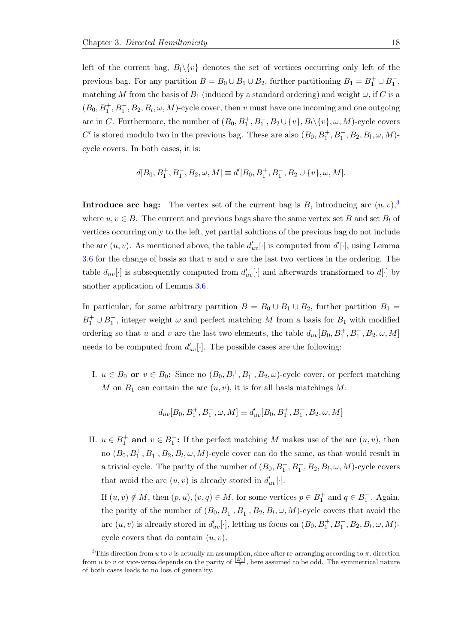left of the current bag,  $B_l \setminus \{v\}$  denotes the set of vertices occurring only left of the previous bag. For any partition  $B = B_0 \cup B_1 \cup B_2$ , further partitioning  $B_1 = B_1^+ \cup B_1^-$ , matching M from the basis of  $B_1$  (induced by a standard ordering) and weight  $\omega$ , if C is a  $(B_0, B_1^+, B_1^-, B_2, B_l, \omega, M)$ -cycle cover, then v must have one incoming and one outgoing arc in C. Furthermore, the number of  $(B_0, B_1^+, B_1^-, B_2 \cup \{v\}, B_l \setminus \{v\}, \omega, M)$ -cycle covers C' is stored modulo two in the previous bag. These are also  $(B_0, B_1^+, B_1^-, B_2, B_l, \omega, M)$ cycle covers. In both cases, it is:

$$
d[B_0, B_1^+, B_1^-, B_2, \omega, M] \equiv d'[B_0, B_1^+, B_1^-, B_2 \cup \{v\}, \omega, M].
$$

**Introduce arc bag:** The vertex set of the current bag is B, introducing arc  $(u, v)$ ,<sup>[3](#page-21-0)</sup> where  $u, v \in B$ . The current and previous bags share the same vertex set B and set  $B<sub>l</sub>$  of vertices occurring only to the left, yet partial solutions of the previous bag do not include the arc  $(u, v)$ . As mentioned above, the table  $d'_{uv}[\cdot]$  is computed from  $d'[\cdot]$ , using Lemma [3.6](#page-20-0) for the change of basis so that  $u$  and  $v$  are the last two vertices in the ordering. The table  $d_{uv}[\cdot]$  is subsequently computed from  $d'_{uv}[\cdot]$  and afterwards transformed to  $d[\cdot]$  by another application of Lemma [3.6.](#page-20-0)

In particular, for some arbitrary partition  $B = B_0 \cup B_1 \cup B_2$ , further partition  $B_1 =$  $B_1^+ \cup B_1^-$ , integer weight  $\omega$  and perfect matching M from a basis for  $B_1$  with modified ordering so that u and v are the last two elements, the table  $d_{uv}[B_0, B_1^+, B_1^-, B_2, \omega, M]$ needs to be computed from  $d'_{uv}[\cdot]$ . The possible cases are the following:

I.  $u \in B_0$  or  $v \in B_0$ : Since no  $(B_0, B_1^+, B_1^-, B_2, \omega)$ -cycle cover, or perfect matching M on  $B_1$  can contain the arc  $(u, v)$ , it is for all basis matchings M:

$$
d_{uv}[B_0, B_1^+, B_1^-, \omega, M] \equiv d'_{uv}[B_0, B_1^+, B_1^-, B_2, \omega, M]
$$

II.  $u \in B_1^+$  and  $v \in B_1^-$ : If the perfect matching M makes use of the arc  $(u, v)$ , then no  $(B_0, B_1^+, B_1^-, B_2, B_l, \omega, M)$ -cycle cover can do the same, as that would result in a trivial cycle. The parity of the number of  $(B_0, B_1^+, B_1^-, B_2, B_l, \omega, M)$ -cycle covers that avoid the arc  $(u, v)$  is already stored in  $d'_{uv}[\cdot]$ .

If  $(u, v) \notin M$ , then  $(p, u), (v, q) \in M$ , for some vertices  $p \in B_1^+$  and  $q \in B_1^-$ . Again, the parity of the number of  $(B_0, B_1^+, B_1^-, B_2, B_l, \omega, M)$ -cycle covers that avoid the arc  $(u, v)$  is already stored in  $d'_{uv}[\cdot]$ , letting us focus on  $(B_0, B_1^+, B_1^-, B_2, B_l, \omega, M)$ cycle covers that do contain  $(u, v)$ .

<span id="page-21-0"></span><sup>&</sup>lt;sup>3</sup>This direction from u to v is actually an assumption, since after re-arranging according to  $\pi$ , direction from u to v or vice-versa depends on the parity of  $\frac{|B_1|}{2}$ , here assumed to be odd. The symmetrical nature of both cases leads to no loss of generality.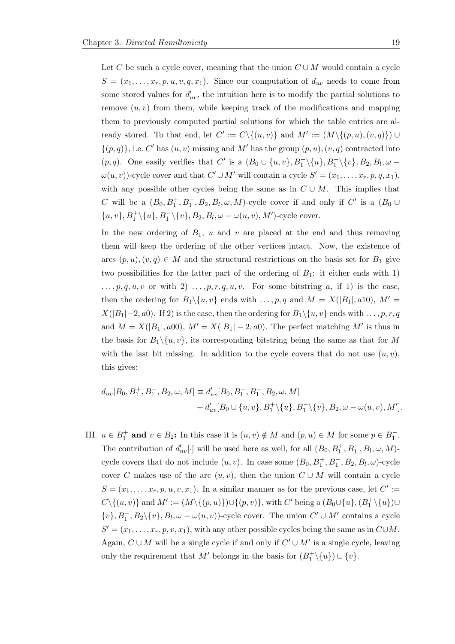Let C be such a cycle cover, meaning that the union  $C \cup M$  would contain a cycle  $S = (x_1, \ldots, x_r, p, u, v, q, x_1)$ . Since our computation of  $d_{uv}$  needs to come from some stored values for  $d'_{uv}$ , the intuition here is to modify the partial solutions to remove  $(u, v)$  from them, while keeping track of the modifications and mapping them to previously computed partial solutions for which the table entries are already stored. To that end, let  $C' := C \setminus \{(u, v)\}$  and  $M' := (M \setminus \{(p, u), (v, q)\}) \cup$  $\{(p,q)\}\text{, i.e. } C' \text{ has } (u, v) \text{ missing and } M' \text{ has the group } (p, u), (v, q) \text{ contracted into } C' \text{.}$  $(p, q)$ . One easily verifies that C' is a  $(B_0 \cup \{u, v\}, B_1^+\setminus\{u\}, B_1^-\setminus\{v\}, B_2, B_l, \omega$  $\omega(u, v)$ )-cycle cover and that  $C' \cup M'$  will contain a cycle  $S' = (x_1, \ldots, x_r, p, q, x_1)$ , with any possible other cycles being the same as in  $C \cup M$ . This implies that C will be a  $(B_0, B_1^+, B_1^-, B_2, B_l, \omega, M)$ -cycle cover if and only if C' is a  $(B_0 \cup$  $\{u, v\}, B_1^+ \setminus \{u\}, B_1^- \setminus \{v\}, B_2, B_l, \omega - \omega(u, v), M'$ )-cycle cover.

In the new ordering of  $B_1$ , u and v are placed at the end and thus removing them will keep the ordering of the other vertices intact. Now, the existence of arcs  $(p, u), (v, q) \in M$  and the structural restrictions on the basis set for  $B_1$  give two possibilities for the latter part of the ordering of  $B_1$ : it either ends with 1)  $\ldots, p, q, u, v$  or with 2)  $\ldots, p, r, q, u, v$ . For some bitstring a, if 1) is the case, then the ordering for  $B_1 \setminus \{u, v\}$  ends with  $\ldots, p, q$  and  $M = X(|B_1|, a10), M' =$  $X(|B_1|-2, a_0)$ . If 2) is the case, then the ordering for  $B_1 \setminus \{u, v\}$  ends with ..., p, r, q and  $M = X(|B_1|, a00), M' = X(|B_1| - 2, a0)$ . The perfect matching M' is thus in the basis for  $B_1 \setminus \{u, v\}$ , its corresponding bitstring being the same as that for M with the last bit missing. In addition to the cycle covers that do not use  $(u, v)$ , this gives:

$$
d_{uv}[B_0, B_1^+, B_1^-, B_2, \omega, M] \equiv d'_{uv}[B_0, B_1^+, B_1^-, B_2, \omega, M] + d'_{uv}[B_0 \cup \{u, v\}, B_1^+ \setminus \{u\}, B_1^- \setminus \{v\}, B_2, \omega - \omega(u, v), M'].
$$

III.  $u \in B_1^+$  and  $v \in B_2$ : In this case it is  $(u, v) \notin M$  and  $(p, u) \in M$  for some  $p \in B_1^-$ . The contribution of  $d'_{uv}[\cdot]$  will be used here as well, for all  $(B_0, B_1^+, B_1^-, B_l, \omega, M)$ cycle covers that do not include  $(u, v)$ . In case some  $(B_0, B_1^+, B_1^-, B_2, B_l, \omega)$ -cycle cover C makes use of the arc  $(u, v)$ , then the union  $C \cup M$  will contain a cycle  $S = (x_1, \ldots, x_r, p, u, v, x_1)$ . In a similar manner as for the previous case, let  $C' :=$  $C \setminus \{(u, v)\}\$ and  $M' := (M \setminus \{(p, u)\}) \cup \{(p, v)\}\$ , with  $C'$  being a  $(B_0 \cup \{u\}, (B_1^+ \setminus \{u\}) \cup$  $\{v\}, B_1^-, B_2\setminus\{v\}, B_l, \omega - \omega(u, v)$ )-cycle cover. The union  $C' \cup M'$  contains a cycle  $S' = (x_1, \ldots, x_r, p, v, x_1)$ , with any other possible cycles being the same as in  $C \cup M$ . Again,  $C \cup M$  will be a single cycle if and only if  $C' \cup M'$  is a single cycle, leaving only the requirement that  $M'$  belongs in the basis for  $(B_1^+\backslash \{u\})\cup \{v\}$ .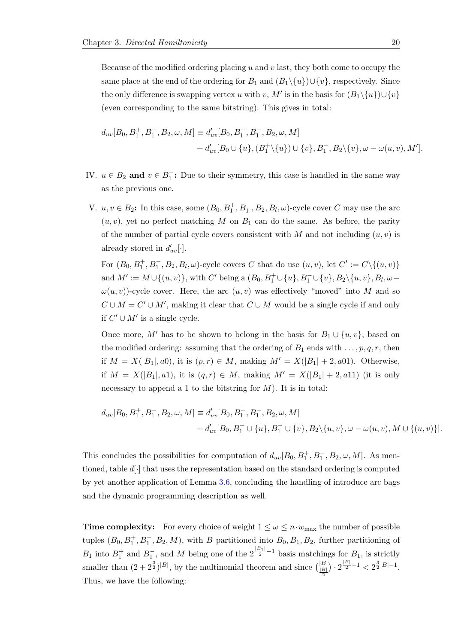Because of the modified ordering placing  $u$  and  $v$  last, they both come to occupy the same place at the end of the ordering for  $B_1$  and  $(B_1 \setminus \{u\}) \cup \{v\}$ , respectively. Since the only difference is swapping vertex u with v, M' is in the basis for  $(B_1 \setminus \{u\}) \cup \{v\}$ (even corresponding to the same bitstring). This gives in total:

$$
d_{uv}[B_0, B_1^+, B_1^-, B_2, \omega, M] \equiv d'_{uv}[B_0, B_1^+, B_1^-, B_2, \omega, M] + d'_{uv}[B_0 \cup \{u\}, (B_1^+\setminus\{u\}) \cup \{v\}, B_1^-, B_2\setminus\{v\}, \omega - \omega(u, v), M'].
$$

- IV.  $u \in B_2$  and  $v \in B_1^-$ : Due to their symmetry, this case is handled in the same way as the previous one.
- V.  $u, v \in B_2$ : In this case, some  $(B_0, B_1^+, B_1^-, B_2, B_l, \omega)$ -cycle cover C may use the arc  $(u, v)$ , yet no perfect matching M on  $B_1$  can do the same. As before, the parity of the number of partial cycle covers consistent with M and not including  $(u, v)$  is already stored in  $d'_{uv}[\cdot]$ .

For  $(B_0, B_1^+, B_1^-, B_2, B_l, \omega)$ -cycle covers C that do use  $(u, v)$ , let  $C' := C \setminus \{(u, v)\}\$ and  $M' := M \cup \{(u, v)\}\$ , with C' being a  $(B_0, B_1^+ \cup \{u\}, B_1^- \cup \{v\}, B_2 \setminus \{u, v\}, B_l, \omega$  $\omega(u, v)$ )-cycle cover. Here, the arc  $(u, v)$  was effectively "moved" into M and so  $C \cup M = C' \cup M'$ , making it clear that  $C \cup M$  would be a single cycle if and only if  $C' \cup M'$  is a single cycle.

Once more, M' has to be shown to belong in the basis for  $B_1 \cup \{u, v\}$ , based on the modified ordering: assuming that the ordering of  $B_1$  ends with  $\ldots, p, q, r$ , then if  $M = X(|B_1|, a0)$ , it is  $(p, r) \in M$ , making  $M' = X(|B_1| + 2, a01)$ . Otherwise, if  $M = X(|B_1|, a_1)$ , it is  $(q, r) \in M$ , making  $M' = X(|B_1| + 2, a_1)$  (it is only necessary to append a 1 to the bitstring for  $M$ ). It is in total:

$$
d_{uv}[B_0, B_1^+, B_1^-, B_2, \omega, M] \equiv d'_{uv}[B_0, B_1^+, B_1^-, B_2, \omega, M] + d'_{uv}[B_0, B_1^+ \cup \{u\}, B_1^- \cup \{v\}, B_2 \setminus \{u, v\}, \omega - \omega(u, v), M \cup \{(u, v)\}].
$$

This concludes the possibilities for computation of  $d_{uv}[B_0, B_1^+, B_1^-, B_2, \omega, M]$ . As mentioned, table  $d[\cdot]$  that uses the representation based on the standard ordering is computed by yet another application of Lemma [3.6,](#page-20-0) concluding the handling of introduce arc bags and the dynamic programming description as well.

**Time complexity:** For every choice of weight  $1 \leq \omega \leq n \cdot w_{\text{max}}$  the number of possible tuples  $(B_0, B_1^+, B_1^-, B_2, M)$ , with B partitioned into  $B_0, B_1, B_2$ , further partitioning of  $B_1$  into  $B_1^+$  and  $B_1^-$ , and M being one of the  $2^{\frac{|B_1|}{2}-1}$  basis matchings for  $B_1$ , is strictly smaller than  $(2+2^{\frac{3}{2}})^{|B|}$ , by the multinomial theorem and since  $\left(\frac{|B|}{\frac{|B|}{2}}\right)$  $) \cdot 2^{\frac{|B|}{2}-1} < 2^{\frac{3}{2}|B|-1}.$ Thus, we have the following: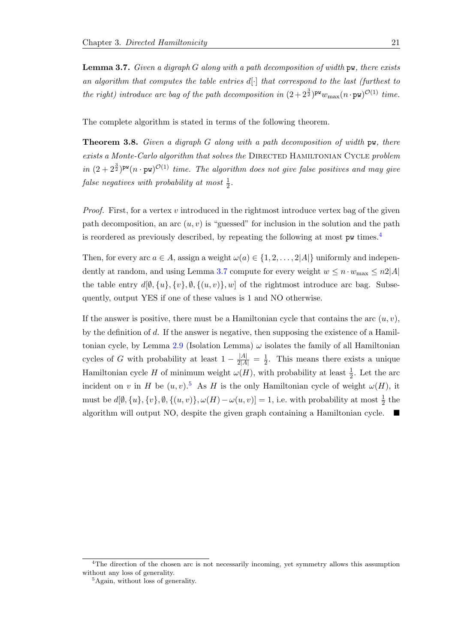<span id="page-24-1"></span>**Lemma 3.7.** Given a digraph G along with a path decomposition of width  $p$ w, there exists an algorithm that computes the table entries  $d\cdot$  that correspond to the last (furthest to the right) introduce arc bag of the path decomposition in  $(2+2^{\frac{3}{2}})^{pw}w_{\max}(n \cdot pw)^{\mathcal{O}(1)}$  time.

The complete algorithm is stated in terms of the following theorem.

**Theorem 3.8.** Given a digraph G along with a path decomposition of width  $\mathbf{pw}$ , there exists a Monte-Carlo algorithm that solves the DIRECTED HAMILTONIAN CYCLE problem in  $(2 + 2^{\frac{3}{2}})^{pw}(n \cdot pw)^{\mathcal{O}(1)}$  time. The algorithm does not give false positives and may give false negatives with probability at most  $\frac{1}{2}$ .

*Proof.* First, for a vertex v introduced in the rightmost introduce vertex bag of the given path decomposition, an arc  $(u, v)$  is "guessed" for inclusion in the solution and the path is reordered as previously described, by repeating the following at most pw times.[4](#page-24-0)

Then, for every arc  $a \in A$ , assign a weight  $\omega(a) \in \{1, 2, ..., 2|A|\}$  uniformly and indepen-dently at random, and using Lemma [3.7](#page-24-1) compute for every weight  $w \leq n \cdot w_{\text{max}} \leq n/4$ the table entry  $d[\emptyset, \{u\}, \{v\}, \emptyset, \{(u, v)\}, w]$  of the rightmost introduce arc bag. Subsequently, output YES if one of these values is 1 and NO otherwise.

If the answer is positive, there must be a Hamiltonian cycle that contains the arc  $(u, v)$ , by the definition of d. If the answer is negative, then supposing the existence of a Hamil-tonian cycle, by Lemma [2.9](#page-14-0) (Isolation Lemma)  $\omega$  isolates the family of all Hamiltonian cycles of G with probability at least  $1 - \frac{|A|}{2|A|} = \frac{1}{2}$  $\frac{1}{2}$ . This means there exists a unique Hamiltonian cycle H of minimum weight  $\omega(H)$ , with probability at least  $\frac{1}{2}$ . Let the arc incident on v in H be  $(u, v)$ .<sup>[5](#page-24-2)</sup> As H is the only Hamiltonian cycle of weight  $\omega(H)$ , it must be  $d[\emptyset, \{u\}, \{v\}, \emptyset, \{(u, v)\}, \omega(H) - \omega(u, v)] = 1$ , i.e. with probability at most  $\frac{1}{2}$  the algorithm will output NO, despite the given graph containing a Hamiltonian cycle.

<span id="page-24-0"></span><sup>&</sup>lt;sup>4</sup>The direction of the chosen arc is not necessarily incoming, yet symmetry allows this assumption without any loss of generality.

<span id="page-24-2"></span><sup>&</sup>lt;sup>5</sup>Again, without loss of generality.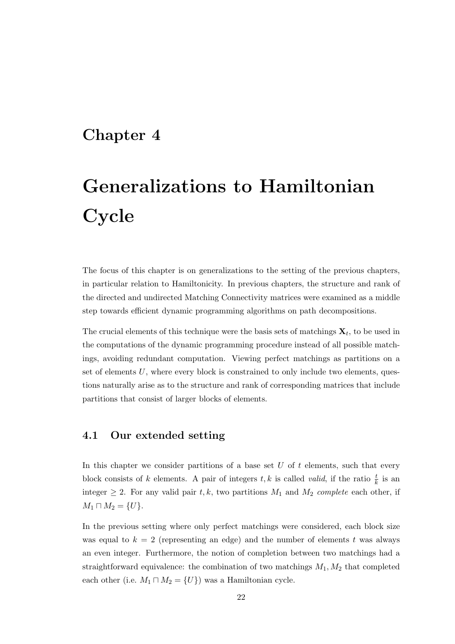### <span id="page-25-0"></span>Chapter 4

# Generalizations to Hamiltonian **Cycle**

The focus of this chapter is on generalizations to the setting of the previous chapters, in particular relation to Hamiltonicity. In previous chapters, the structure and rank of the directed and undirected Matching Connectivity matrices were examined as a middle step towards efficient dynamic programming algorithms on path decompositions.

The crucial elements of this technique were the basis sets of matchings  $\mathbf{X}_t$ , to be used in the computations of the dynamic programming procedure instead of all possible matchings, avoiding redundant computation. Viewing perfect matchings as partitions on a set of elements  $U$ , where every block is constrained to only include two elements, questions naturally arise as to the structure and rank of corresponding matrices that include partitions that consist of larger blocks of elements.

#### <span id="page-25-1"></span>4.1 Our extended setting

In this chapter we consider partitions of a base set  $U$  of  $t$  elements, such that every block consists of k elements. A pair of integers  $t, k$  is called *valid*, if the ratio  $\frac{t}{k}$  is an integer  $\geq 2$ . For any valid pair t, k, two partitions  $M_1$  and  $M_2$  complete each other, if  $M_1 \sqcap M_2 = \{U\}.$ 

In the previous setting where only perfect matchings were considered, each block size was equal to  $k = 2$  (representing an edge) and the number of elements t was always an even integer. Furthermore, the notion of completion between two matchings had a straightforward equivalence: the combination of two matchings  $M_1, M_2$  that completed each other (i.e.  $M_1 \sqcap M_2 = \{U\}$ ) was a Hamiltonian cycle.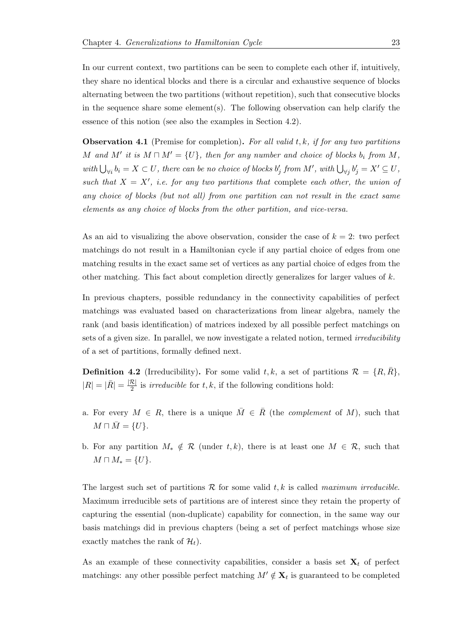In our current context, two partitions can be seen to complete each other if, intuitively, they share no identical blocks and there is a circular and exhaustive sequence of blocks alternating between the two partitions (without repetition), such that consecutive blocks in the sequence share some element(s). The following observation can help clarify the essence of this notion (see also the examples in Section 4.2).

**Observation 4.1** (Premise for completion). For all valid  $t, k$ , if for any two partitions M and M' it is  $M \cap M' = \{U\}$ , then for any number and choice of blocks  $b_i$  from M, with  $\bigcup_{\forall i} b_i = X \subset U$ , there can be no choice of blocks  $b'_j$  from M', with  $\bigcup_{\forall j} b'_j = X' \subseteq U$ , such that  $X = X'$ , i.e. for any two partitions that complete each other, the union of any choice of blocks (but not all) from one partition can not result in the exact same elements as any choice of blocks from the other partition, and vice-versa.

As an aid to visualizing the above observation, consider the case of  $k = 2$ : two perfect matchings do not result in a Hamiltonian cycle if any partial choice of edges from one matching results in the exact same set of vertices as any partial choice of edges from the other matching. This fact about completion directly generalizes for larger values of  $k$ .

In previous chapters, possible redundancy in the connectivity capabilities of perfect matchings was evaluated based on characterizations from linear algebra, namely the rank (and basis identification) of matrices indexed by all possible perfect matchings on sets of a given size. In parallel, we now investigate a related notion, termed *irreducibility* of a set of partitions, formally defined next.

<span id="page-26-0"></span>**Definition 4.2** (Irreducibility). For some valid t, k, a set of partitions  $\mathcal{R} = \{R, R\}$ ,  $|R| = |\bar{R}| = \frac{|\mathcal{R}|}{2}$  $\frac{1}{2}$  is *irreducible* for t, k, if the following conditions hold:

- a. For every  $M \in R$ , there is a unique  $\overline{M} \in \overline{R}$  (the *complement* of M), such that  $M \sqcap \overline{M} = \{U\}.$
- b. For any partition  $M_* \notin \mathcal{R}$  (under t, k), there is at least one  $M \in \mathcal{R}$ , such that  $M \sqcap M_* = \{U\}.$

The largest such set of partitions  $R$  for some valid  $t, k$  is called maximum irreducible. Maximum irreducible sets of partitions are of interest since they retain the property of capturing the essential (non-duplicate) capability for connection, in the same way our basis matchings did in previous chapters (being a set of perfect matchings whose size exactly matches the rank of  $\mathcal{H}_t$ .

As an example of these connectivity capabilities, consider a basis set  $X_t$  of perfect matchings: any other possible perfect matching  $M' \notin \mathbf{X}_t$  is guaranteed to be completed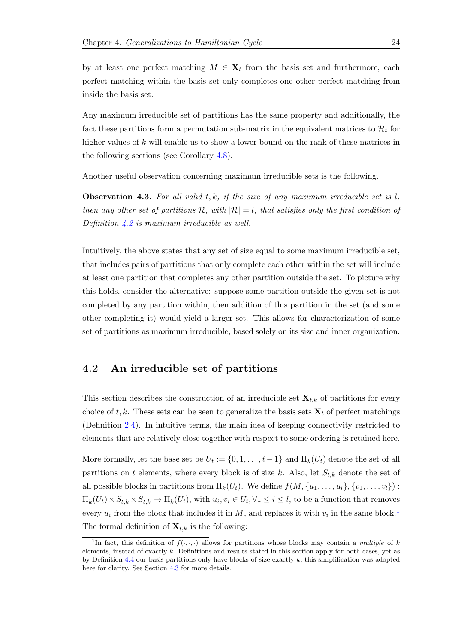by at least one perfect matching  $M \in \mathbf{X}_t$  from the basis set and furthermore, each perfect matching within the basis set only completes one other perfect matching from inside the basis set.

Any maximum irreducible set of partitions has the same property and additionally, the fact these partitions form a permutation sub-matrix in the equivalent matrices to  $\mathcal{H}_t$  for higher values of k will enable us to show a lower bound on the rank of these matrices in the following sections (see Corollary [4.8\)](#page-32-0).

Another useful observation concerning maximum irreducible sets is the following.

**Observation 4.3.** For all valid  $t, k$ , if the size of any maximum irreducible set is  $l$ , then any other set of partitions  $\mathcal{R}$ , with  $|\mathcal{R}| = l$ , that satisfies only the first condition of Definition  $4.2$  is maximum irreducible as well.

Intuitively, the above states that any set of size equal to some maximum irreducible set, that includes pairs of partitions that only complete each other within the set will include at least one partition that completes any other partition outside the set. To picture why this holds, consider the alternative: suppose some partition outside the given set is not completed by any partition within, then addition of this partition in the set (and some other completing it) would yield a larger set. This allows for characterization of some set of partitions as maximum irreducible, based solely on its size and inner organization.

#### <span id="page-27-0"></span>4.2 An irreducible set of partitions

This section describes the construction of an irreducible set  $\mathbf{X}_{t,k}$  of partitions for every choice of t, k. These sets can be seen to generalize the basis sets  $X_t$  of perfect matchings (Definition [2.4\)](#page-12-1). In intuitive terms, the main idea of keeping connectivity restricted to elements that are relatively close together with respect to some ordering is retained here.

More formally, let the base set be  $U_t := \{0, 1, \ldots, t-1\}$  and  $\Pi_k(U_t)$  denote the set of all partitions on t elements, where every block is of size k. Also, let  $S_{t,k}$  denote the set of all possible blocks in partitions from  $\Pi_k(U_t)$ . We define  $f(M, \{u_1, \ldots, u_l\}, \{v_1, \ldots, v_l\})$ :  $\Pi_k(U_t) \times S_{t,k} \times S_{t,k} \to \Pi_k(U_t)$ , with  $u_i, v_i \in U_t, \forall 1 \leq i \leq l$ , to be a function that removes every  $u_i$  from the block that includes it in M, and replaces it with  $v_i$  in the same block.<sup>[1](#page-27-1)</sup> The formal definition of  $\mathbf{X}_{t,k}$  is the following:

<span id="page-27-1"></span><sup>&</sup>lt;sup>1</sup>In fact, this definition of  $f(\cdot, \cdot, \cdot)$  allows for partitions whose blocks may contain a multiple of k elements, instead of exactly  $k$ . Definitions and results stated in this section apply for both cases, yet as by Definition  $4.4$  our basis partitions only have blocks of size exactly k, this simplification was adopted here for clarity. See Section [4.3](#page-31-0) for more details.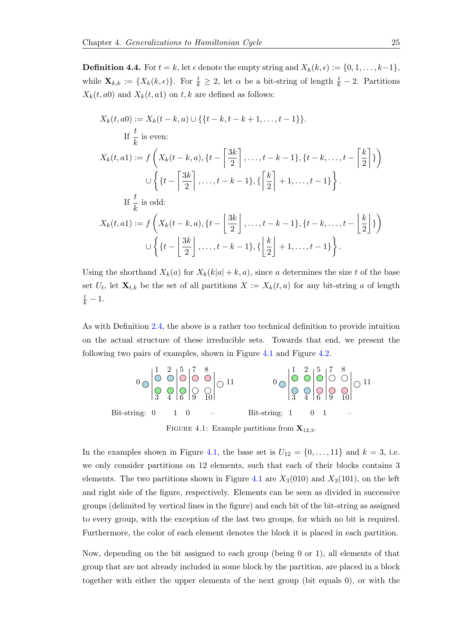<span id="page-28-1"></span>**Definition 4.4.** For  $t = k$ , let  $\epsilon$  denote the empty string and  $X_k(k, \epsilon) := \{0, 1, \ldots, k-1\},$ while  $\mathbf{X}_{k,k} := \{X_k(k,\epsilon)\}\.$  For  $\frac{t}{k} \geq 2$ , let  $\alpha$  be a bit-string of length  $\frac{t}{k} - 2$ . Partitions  $X_k(t, a0)$  and  $X_k(t, a1)$  on t, k are defined as follows:

$$
X_k(t, a0) := X_k(t - k, a) \cup \left\{ \{t - k, t - k + 1, \dots, t - 1\} \right\}.
$$
  
If  $\frac{t}{k}$  is even:  

$$
X_k(t, a1) := f\left(X_k(t - k, a), \{t - \left[\frac{3k}{2}\right], \dots, t - k - 1\}, \{t - k, \dots, t - \left[\frac{k}{2}\right]\}\right)
$$

$$
\cup \left\{ \{t - \left[\frac{3k}{2}\right], \dots, t - k - 1\}, \{\left[\frac{k}{2}\right] + 1, \dots, t - 1\}\right\}.
$$
If  $\frac{t}{k}$  is odd:  

$$
X_k(t, a1) := f\left(X_k(t - k, a), \{t - \left[\frac{3k}{2}\right], \dots, t - k - 1\}, \{t - k, \dots, t - \left[\frac{k}{2}\right]\}\right)
$$

$$
\cup \left\{ \{t - \left[\frac{3k}{2}\right], \dots, t - k - 1\}, \{\left[\frac{k}{2}\right] + 1, \dots, t - 1\}\right\}.
$$

Using the shorthand  $X_k(a)$  for  $X_k(k|a| + k, a)$ , since a determines the size t of the base set  $U_t$ , let  $\mathbf{X}_{t,k}$  be the set of all partitions  $X := X_k(t,a)$  for any bit-string a of length  $\frac{t}{k} - 1.$ 

As with Definition [2.4,](#page-12-1) the above is a rather too technical definition to provide intuition on the actual structure of these irreducible sets. Towards that end, we present the following two pairs of examples, shown in Figure [4.1](#page-28-0) and Figure [4.2.](#page-29-0)

<span id="page-28-0"></span>

FIGURE 4.1: Example partitions from  $X_{12,3}$ .

In the examples shown in Figure [4.1,](#page-28-0) the base set is  $U_{12} = \{0, \ldots, 11\}$  and  $k = 3$ , i.e. we only consider partitions on 12 elements, such that each of their blocks contains 3 elements. The two partitions shown in Figure [4.1](#page-28-0) are  $X_3(010)$  and  $X_3(101)$ , on the left and right side of the figure, respectively. Elements can be seen as divided in successive groups (delimited by vertical lines in the figure) and each bit of the bit-string as assigned to every group, with the exception of the last two groups, for which no bit is required. Furthermore, the color of each element denotes the block it is placed in each partition.

Now, depending on the bit assigned to each group (being 0 or 1), all elements of that group that are not already included in some block by the partition, are placed in a block together with either the upper elements of the next group (bit equals 0), or with the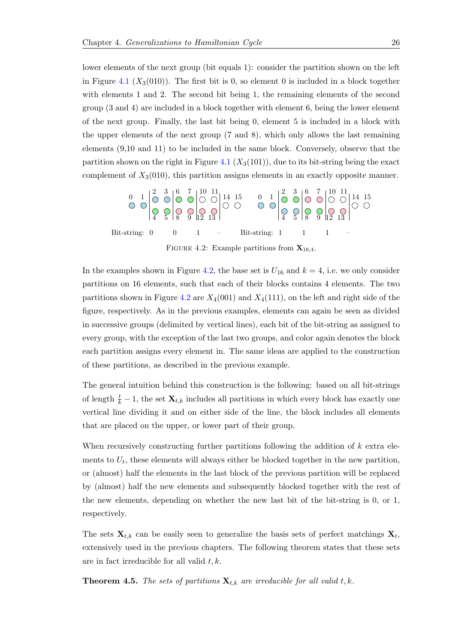lower elements of the next group (bit equals 1): consider the partition shown on the left in Figure [4.1](#page-28-0) ( $X_3(010)$ ). The first bit is 0, so element 0 is included in a block together with elements 1 and 2. The second bit being 1, the remaining elements of the second group (3 and 4) are included in a block together with element 6, being the lower element of the next group. Finally, the last bit being 0, element 5 is included in a block with the upper elements of the next group (7 and 8), which only allows the last remaining elements (9,10 and 11) to be included in the same block. Conversely, observe that the partition shown on the right in Figure [4.1](#page-28-0)  $(X_3(101))$ , due to its bit-string being the exact complement of  $X_3(010)$ , this partition assigns elements in an exactly opposite manner.

<span id="page-29-0"></span>

In the examples shown in Figure [4.2,](#page-29-0) the base set is  $U_{16}$  and  $k = 4$ , i.e. we only consider partitions on 16 elements, such that each of their blocks contains 4 elements. The two partitions shown in Figure [4.2](#page-29-0) are  $X_4(001)$  and  $X_4(111)$ , on the left and right side of the figure, respectively. As in the previous examples, elements can again be seen as divided in successive groups (delimited by vertical lines), each bit of the bit-string as assigned to every group, with the exception of the last two groups, and color again denotes the block each partition assigns every element in. The same ideas are applied to the construction of these partitions, as described in the previous example.

The general intuition behind this construction is the following: based on all bit-strings of length  $\frac{t}{k} - 1$ , the set  $\mathbf{X}_{t,k}$  includes all partitions in which every block has exactly one vertical line dividing it and on either side of the line, the block includes all elements that are placed on the upper, or lower part of their group.

When recursively constructing further partitions following the addition of k extra elements to  $U_t$ , these elements will always either be blocked together in the new partition, or (almost) half the elements in the last block of the previous partition will be replaced by (almost) half the new elements and subsequently blocked together with the rest of the new elements, depending on whether the new last bit of the bit-string is 0, or 1, respectively.

The sets  $\mathbf{X}_{t,k}$  can be easily seen to generalize the basis sets of perfect matchings  $\mathbf{X}_t$ , extensively used in the previous chapters. The following theorem states that these sets are in fact irreducible for all valid  $t, k$ .

<span id="page-29-1"></span>**Theorem 4.5.** The sets of partitions  $\mathbf{X}_{t,k}$  are irreducible for all valid t, k.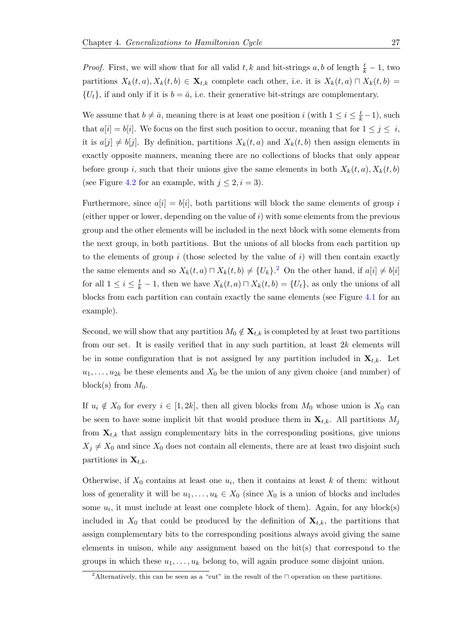*Proof.* First, we will show that for all valid  $t, k$  and bit-strings  $a, b$  of length  $\frac{t}{k} - 1$ , two partitions  $X_k(t, a), X_k(t, b) \in \mathbf{X}_{t,k}$  complete each other, i.e. it is  $X_k(t, a) \cap X_k(t, b) =$  $\{U_t\}$ , if and only if it is  $b = \bar{a}$ , i.e. their generative bit-strings are complementary.

We assume that  $b \neq \bar{a}$ , meaning there is at least one position i (with  $1 \leq i \leq \frac{t}{k} - 1$ ), such that  $a[i] = b[i]$ . We focus on the first such position to occur, meaning that for  $1 \leq j \leq i$ , it is  $a[j] \neq b[j]$ . By definition, partitions  $X_k(t, a)$  and  $X_k(t, b)$  then assign elements in exactly opposite manners, meaning there are no collections of blocks that only appear before group i, such that their unions give the same elements in both  $X_k(t, a), X_k(t, b)$ (see Figure [4.2](#page-29-0) for an example, with  $j \leq 2, i = 3$ ).

Furthermore, since  $a[i] = b[i]$ , both partitions will block the same elements of group i (either upper or lower, depending on the value of  $i$ ) with some elements from the previous group and the other elements will be included in the next block with some elements from the next group, in both partitions. But the unions of all blocks from each partition up to the elements of group i (those selected by the value of i) will then contain exactly the same elements and so  $X_k(t, a) \sqcap X_k(t, b) \neq \{U_k\}$ .<sup>[2](#page-30-0)</sup> On the other hand, if  $a[i] \neq b[i]$ for all  $1 \leq i \leq \frac{t}{k} - 1$ , then we have  $X_k(t, a) \sqcap X_k(t, b) = \{U_t\}$ , as only the unions of all blocks from each partition can contain exactly the same elements (see Figure [4.1](#page-28-0) for an example).

Second, we will show that any partition  $M_0 \notin \mathbf{X}_{t,k}$  is completed by at least two partitions from our set. It is easily verified that in any such partition, at least  $2k$  elements will be in some configuration that is not assigned by any partition included in  $\mathbf{X}_{t,k}$ . Let  $u_1, \ldots, u_{2k}$  be these elements and  $X_0$  be the union of any given choice (and number) of block(s) from  $M_0$ .

If  $u_i \notin X_0$  for every  $i \in [1, 2k]$ , then all given blocks from  $M_0$  whose union is  $X_0$  can be seen to have some implicit bit that would produce them in  $\mathbf{X}_{t,k}$ . All partitions  $M_j$ from  $\mathbf{X}_{t,k}$  that assign complementary bits in the corresponding positions, give unions  $X_j \neq X_0$  and since  $X_0$  does not contain all elements, there are at least two disjoint such partitions in  $\mathbf{X}_{t,k}$ .

Otherwise, if  $X_0$  contains at least one  $u_i$ , then it contains at least k of them: without loss of generality it will be  $u_1, \ldots, u_k \in X_0$  (since  $X_0$  is a union of blocks and includes some  $u_i$ , it must include at least one complete block of them). Again, for any block(s) included in  $X_0$  that could be produced by the definition of  $\mathbf{X}_{t,k}$ , the partitions that assign complementary bits to the corresponding positions always avoid giving the same elements in unison, while any assignment based on the bit(s) that correspond to the groups in which these  $u_1, \ldots, u_k$  belong to, will again produce some disjoint union.

<span id="page-30-0"></span><sup>&</sup>lt;sup>2</sup>Alternatively, this can be seen as a "cut" in the result of the  $\Box$  operation on these partitions.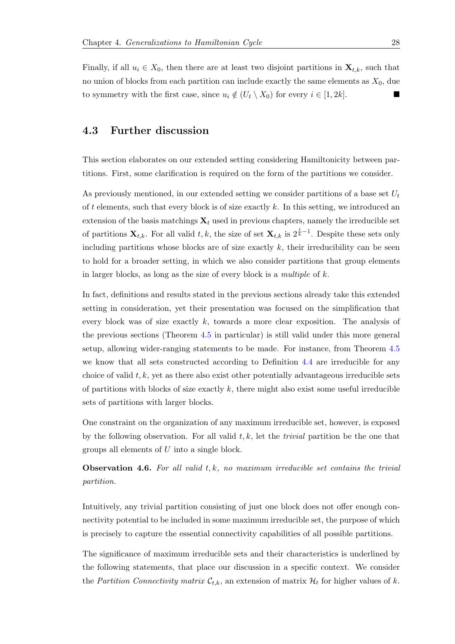Finally, if all  $u_i \in X_0$ , then there are at least two disjoint partitions in  $\mathbf{X}_{t,k}$ , such that no union of blocks from each partition can include exactly the same elements as  $X_0$ , due to symmetry with the first case, since  $u_i \notin (U_t \setminus X_0)$  for every  $i \in [1, 2k]$ .

#### <span id="page-31-0"></span>4.3 Further discussion

This section elaborates on our extended setting considering Hamiltonicity between partitions. First, some clarification is required on the form of the partitions we consider.

As previously mentioned, in our extended setting we consider partitions of a base set  $U_t$ of t elements, such that every block is of size exactly  $k$ . In this setting, we introduced an extension of the basis matchings  $\mathbf{X}_t$  used in previous chapters, namely the irreducible set of partitions  $\mathbf{X}_{t,k}$ . For all valid  $t, k$ , the size of set  $\mathbf{X}_{t,k}$  is  $2^{\frac{t}{k}-1}$ . Despite these sets only including partitions whose blocks are of size exactly  $k$ , their irreducibility can be seen to hold for a broader setting, in which we also consider partitions that group elements in larger blocks, as long as the size of every block is a *multiple* of  $k$ .

In fact, definitions and results stated in the previous sections already take this extended setting in consideration, yet their presentation was focused on the simplification that every block was of size exactly  $k$ , towards a more clear exposition. The analysis of the previous sections (Theorem [4.5](#page-29-1) in particular) is still valid under this more general setup, allowing wider-ranging statements to be made. For instance, from Theorem [4.5](#page-29-1) we know that all sets constructed according to Definition [4.4](#page-28-1) are irreducible for any choice of valid  $t, k$ , yet as there also exist other potentially advantageous irreducible sets of partitions with blocks of size exactly  $k$ , there might also exist some useful irreducible sets of partitions with larger blocks.

One constraint on the organization of any maximum irreducible set, however, is exposed by the following observation. For all valid  $t, k$ , let the *trivial* partition be the one that groups all elements of U into a single block.

**Observation 4.6.** For all valid  $t, k$ , no maximum irreducible set contains the trivial partition.

Intuitively, any trivial partition consisting of just one block does not offer enough connectivity potential to be included in some maximum irreducible set, the purpose of which is precisely to capture the essential connectivity capabilities of all possible partitions.

The significance of maximum irreducible sets and their characteristics is underlined by the following statements, that place our discussion in a specific context. We consider the Partition Connectivity matrix  $\mathcal{C}_{t,k}$ , an extension of matrix  $\mathcal{H}_t$  for higher values of k.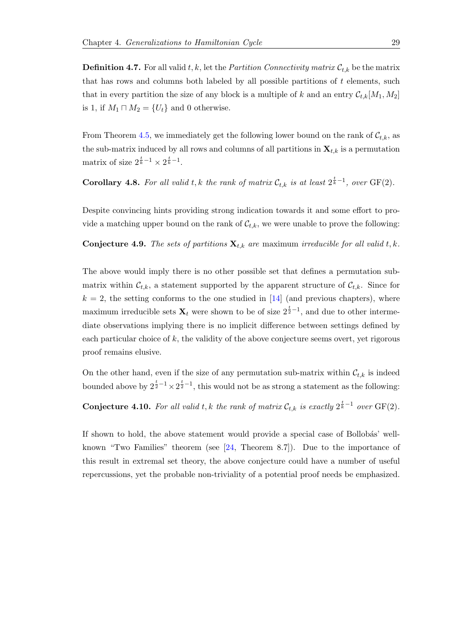**Definition 4.7.** For all valid t, k, let the *Partition Connectivity matrix*  $\mathcal{C}_{t,k}$  be the matrix that has rows and columns both labeled by all possible partitions of  $t$  elements, such that in every partition the size of any block is a multiple of k and an entry  $\mathcal{C}_{t,k}[M_1, M_2]$ is 1, if  $M_1 \sqcap M_2 = \{U_t\}$  and 0 otherwise.

From Theorem [4.5,](#page-29-1) we immediately get the following lower bound on the rank of  $\mathcal{C}_{t,k}$ , as the sub-matrix induced by all rows and columns of all partitions in  $\mathbf{X}_{t,k}$  is a permutation matrix of size  $2^{\frac{t}{k}-1} \times 2^{\frac{t}{k}-1}$ .

<span id="page-32-0"></span>**Corollary 4.8.** For all valid t, k the rank of matrix  $\mathcal{C}_{t,k}$  is at least  $2^{\frac{t}{k}-1}$ , over  $GF(2)$ .

Despite convincing hints providing strong indication towards it and some effort to provide a matching upper bound on the rank of  $\mathcal{C}_{t,k}$ , we were unable to prove the following:

<span id="page-32-1"></span>**Conjecture 4.9.** The sets of partitions  $\mathbf{X}_{t,k}$  are maximum irreducible for all valid t, k.

The above would imply there is no other possible set that defines a permutation submatrix within  $\mathcal{C}_{t,k}$ , a statement supported by the apparent structure of  $\mathcal{C}_{t,k}$ . Since for  $k = 2$ , the setting conforms to the one studied in [\[14\]](#page-35-6) (and previous chapters), where maximum irreducible sets  $\mathbf{X}_t$  were shown to be of size  $2^{\frac{t}{2}-1}$ , and due to other intermediate observations implying there is no implicit difference between settings defined by each particular choice of k, the validity of the above conjecture seems overt, yet rigorous proof remains elusive.

On the other hand, even if the size of any permutation sub-matrix within  $\mathcal{C}_{t,k}$  is indeed bounded above by  $2^{\frac{t}{2}-1} \times 2^{\frac{t}{2}-1}$ , this would not be as strong a statement as the following:

<span id="page-32-2"></span>**Conjecture 4.10.** For all valid t, k the rank of matrix  $\mathcal{C}_{t,k}$  is exactly  $2^{\frac{t}{k}-1}$  over  $GF(2)$ .

If shown to hold, the above statement would provide a special case of Bollobás' wellknown "Two Families" theorem (see [\[24,](#page-36-12) Theorem 8.7]). Due to the importance of this result in extremal set theory, the above conjecture could have a number of useful repercussions, yet the probable non-triviality of a potential proof needs be emphasized.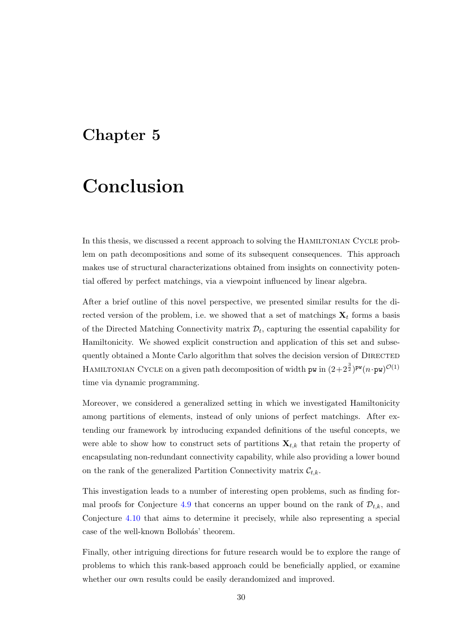### <span id="page-33-0"></span>Chapter 5

# Conclusion

In this thesis, we discussed a recent approach to solving the HAMILTONIAN CYCLE problem on path decompositions and some of its subsequent consequences. This approach makes use of structural characterizations obtained from insights on connectivity potential offered by perfect matchings, via a viewpoint influenced by linear algebra.

After a brief outline of this novel perspective, we presented similar results for the directed version of the problem, i.e. we showed that a set of matchings  $X_t$  forms a basis of the Directed Matching Connectivity matrix  $\mathcal{D}_t$ , capturing the essential capability for Hamiltonicity. We showed explicit construction and application of this set and subsequently obtained a Monte Carlo algorithm that solves the decision version of DIRECTED HAMILTONIAN CYCLE on a given path decomposition of width pw in  $(2+2^{\frac{3}{2}})^{\mathsf{pw}}(n\!\cdot\! \mathsf{pw})^{\mathcal{O}(1)}$ time via dynamic programming.

Moreover, we considered a generalized setting in which we investigated Hamiltonicity among partitions of elements, instead of only unions of perfect matchings. After extending our framework by introducing expanded definitions of the useful concepts, we were able to show how to construct sets of partitions  $\mathbf{X}_{t,k}$  that retain the property of encapsulating non-redundant connectivity capability, while also providing a lower bound on the rank of the generalized Partition Connectivity matrix  $\mathcal{C}_{t,k}$ .

This investigation leads to a number of interesting open problems, such as finding for-mal proofs for Conjecture [4.9](#page-32-1) that concerns an upper bound on the rank of  $\mathcal{D}_{t,k}$ , and Conjecture [4.10](#page-32-2) that aims to determine it precisely, while also representing a special case of the well-known Bollobás' theorem.

Finally, other intriguing directions for future research would be to explore the range of problems to which this rank-based approach could be beneficially applied, or examine whether our own results could be easily derandomized and improved.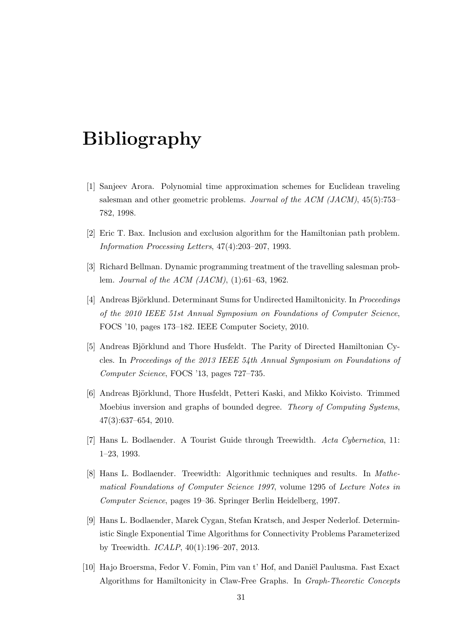# <span id="page-34-0"></span>Bibliography

- <span id="page-34-1"></span>[1] Sanjeev Arora. Polynomial time approximation schemes for Euclidean traveling salesman and other geometric problems. Journal of the ACM (JACM), 45(5):753– 782, 1998.
- <span id="page-34-3"></span>[2] Eric T. Bax. Inclusion and exclusion algorithm for the Hamiltonian path problem. Information Processing Letters, 47(4):203–207, 1993.
- <span id="page-34-2"></span>[3] Richard Bellman. Dynamic programming treatment of the travelling salesman problem. Journal of the ACM (JACM), (1):61–63, 1962.
- <span id="page-34-6"></span>[4] Andreas Björklund. Determinant Sums for Undirected Hamiltonicity. In *Proceedings* of the 2010 IEEE 51st Annual Symposium on Foundations of Computer Science, FOCS '10, pages 173–182. IEEE Computer Society, 2010.
- <span id="page-34-7"></span>[5] Andreas Björklund and Thore Husfeldt. The Parity of Directed Hamiltonian Cycles. In Proceedings of the 2013 IEEE 54th Annual Symposium on Foundations of Computer Science, FOCS '13, pages 727–735.
- <span id="page-34-4"></span>[6] Andreas Björklund, Thore Husfeldt, Petteri Kaski, and Mikko Koivisto. Trimmed Moebius inversion and graphs of bounded degree. Theory of Computing Systems, 47(3):637–654, 2010.
- <span id="page-34-8"></span>[7] Hans L. Bodlaender. A Tourist Guide through Treewidth. Acta Cybernetica, 11: 1–23, 1993.
- <span id="page-34-9"></span>[8] Hans L. Bodlaender. Treewidth: Algorithmic techniques and results. In Mathematical Foundations of Computer Science 1997, volume 1295 of Lecture Notes in Computer Science, pages 19–36. Springer Berlin Heidelberg, 1997.
- <span id="page-34-10"></span>[9] Hans L. Bodlaender, Marek Cygan, Stefan Kratsch, and Jesper Nederlof. Deterministic Single Exponential Time Algorithms for Connectivity Problems Parameterized by Treewidth. ICALP, 40(1):196–207, 2013.
- <span id="page-34-5"></span>[10] Hajo Broersma, Fedor V. Fomin, Pim van t' Hof, and Daniël Paulusma. Fast Exact Algorithms for Hamiltonicity in Claw-Free Graphs. In Graph-Theoretic Concepts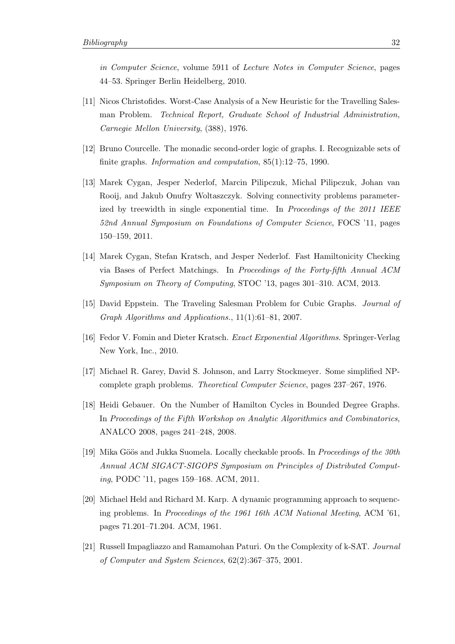in Computer Science, volume 5911 of Lecture Notes in Computer Science, pages 44–53. Springer Berlin Heidelberg, 2010.

- <span id="page-35-1"></span>[11] Nicos Christofides. Worst-Case Analysis of a New Heuristic for the Travelling Salesman Problem. Technical Report, Graduate School of Industrial Administration, Carnegie Mellon University, (388), 1976.
- <span id="page-35-7"></span>[12] Bruno Courcelle. The monadic second-order logic of graphs. I. Recognizable sets of finite graphs. *Information and computation*,  $85(1):12-75$ , 1990.
- <span id="page-35-10"></span>[13] Marek Cygan, Jesper Nederlof, Marcin Pilipczuk, Michal Pilipczuk, Johan van Rooij, and Jakub Onufry Woltaszczyk. Solving connectivity problems parameterized by treewidth in single exponential time. In Proceedings of the 2011 IEEE 52nd Annual Symposium on Foundations of Computer Science, FOCS '11, pages 150–159, 2011.
- <span id="page-35-6"></span>[14] Marek Cygan, Stefan Kratsch, and Jesper Nederlof. Fast Hamiltonicity Checking via Bases of Perfect Matchings. In Proceedings of the Forty-fifth Annual ACM Symposium on Theory of Computing, STOC '13, pages 301–310. ACM, 2013.
- <span id="page-35-4"></span>[15] David Eppstein. The Traveling Salesman Problem for Cubic Graphs. Journal of Graph Algorithms and Applications., 11(1):61–81, 2007.
- <span id="page-35-3"></span>[16] Fedor V. Fomin and Dieter Kratsch. Exact Exponential Algorithms. Springer-Verlag New York, Inc., 2010.
- <span id="page-35-0"></span>[17] Michael R. Garey, David S. Johnson, and Larry Stockmeyer. Some simplified NPcomplete graph problems. Theoretical Computer Science, pages 237–267, 1976.
- <span id="page-35-5"></span>[18] Heidi Gebauer. On the Number of Hamilton Cycles in Bounded Degree Graphs. In Proceedings of the Fifth Workshop on Analytic Algorithmics and Combinatorics, ANALCO 2008, pages 241–248, 2008.
- <span id="page-35-8"></span>[19] Mika Göös and Jukka Suomela. Locally checkable proofs. In *Proceedings of the 30th* Annual ACM SIGACT-SIGOPS Symposium on Principles of Distributed Computing, PODC '11, pages 159–168. ACM, 2011.
- <span id="page-35-2"></span>[20] Michael Held and Richard M. Karp. A dynamic programming approach to sequencing problems. In Proceedings of the 1961 16th ACM National Meeting, ACM '61, pages 71.201–71.204. ACM, 1961.
- <span id="page-35-9"></span>[21] Russell Impagliazzo and Ramamohan Paturi. On the Complexity of k-SAT. Journal of Computer and System Sciences, 62(2):367–375, 2001.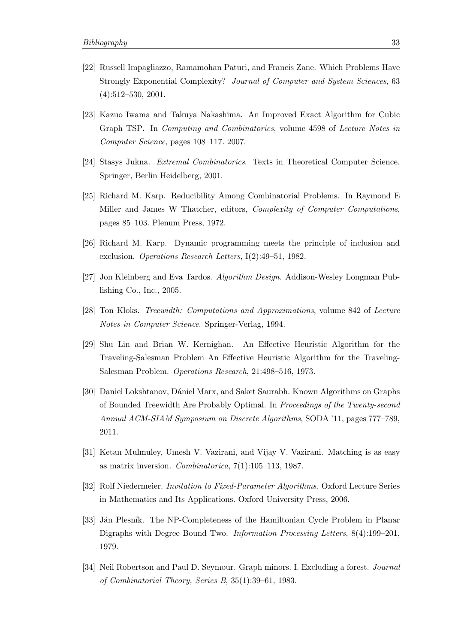- <span id="page-36-7"></span>[22] Russell Impagliazzo, Ramamohan Paturi, and Francis Zane. Which Problems Have Strongly Exponential Complexity? Journal of Computer and System Sciences, 63  $(4):512-530, 2001.$
- <span id="page-36-4"></span>[23] Kazuo Iwama and Takuya Nakashima. An Improved Exact Algorithm for Cubic Graph TSP. In Computing and Combinatorics, volume 4598 of Lecture Notes in Computer Science, pages 108–117. 2007.
- <span id="page-36-12"></span>[24] Stasys Jukna. Extremal Combinatorics. Texts in Theoretical Computer Science. Springer, Berlin Heidelberg, 2001.
- <span id="page-36-0"></span>[25] Richard M. Karp. Reducibility Among Combinatorial Problems. In Raymond E Miller and James W Thatcher, editors, Complexity of Computer Computations, pages 85–103. Plenum Press, 1972.
- <span id="page-36-3"></span>[26] Richard M. Karp. Dynamic programming meets the principle of inclusion and exclusion. Operations Research Letters, I(2):49–51, 1982.
- <span id="page-36-5"></span>[27] Jon Kleinberg and Eva Tardos. Algorithm Design. Addison-Wesley Longman Publishing Co., Inc., 2005.
- <span id="page-36-10"></span>[28] Ton Kloks. Treewidth: Computations and Approximations, volume 842 of Lecture Notes in Computer Science. Springer-Verlag, 1994.
- <span id="page-36-2"></span>[29] Shu Lin and Brian W. Kernighan. An Effective Heuristic Algorithm for the Traveling-Salesman Problem An Effective Heuristic Algorithm for the Traveling-Salesman Problem. Operations Research, 21:498–516, 1973.
- <span id="page-36-8"></span>[30] Daniel Lokshtanov, Dániel Marx, and Saket Saurabh. Known Algorithms on Graphs of Bounded Treewidth Are Probably Optimal. In Proceedings of the Twenty-second Annual ACM-SIAM Symposium on Discrete Algorithms, SODA '11, pages 777–789, 2011.
- <span id="page-36-11"></span>[31] Ketan Mulmuley, Umesh V. Vazirani, and Vijay V. Vazirani. Matching is as easy as matrix inversion. Combinatorica, 7(1):105–113, 1987.
- <span id="page-36-6"></span>[32] Rolf Niedermeier. Invitation to Fixed-Parameter Algorithms. Oxford Lecture Series in Mathematics and Its Applications. Oxford University Press, 2006.
- <span id="page-36-1"></span>[33] Ján Plesník. The NP-Completeness of the Hamiltonian Cycle Problem in Planar Digraphs with Degree Bound Two. Information Processing Letters, 8(4):199–201, 1979.
- <span id="page-36-9"></span>[34] Neil Robertson and Paul D. Seymour. Graph minors. I. Excluding a forest. *Journal* of Combinatorial Theory, Series B, 35(1):39–61, 1983.